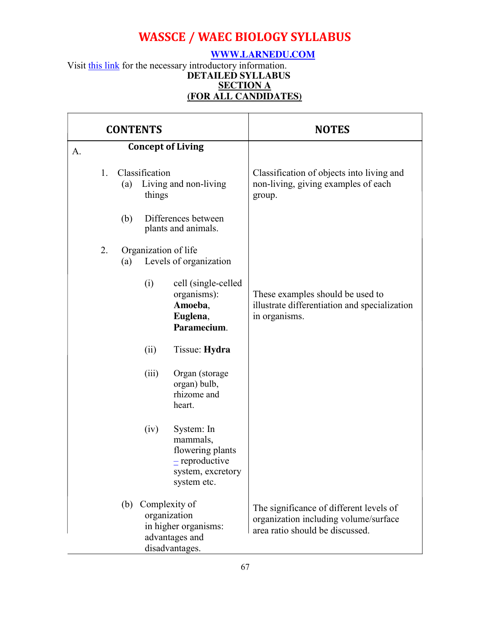### **[WWW.LARNEDU.COM](http://www.larnedu.com/)**

Visit [this link](http://www.larnedu.com/wassce-waec-syllabus/biology/) for the necessary introductory information. **DETAILED SYLLABUS [SECTION A](http://www.larnedu.com/wassce-waec-syllabus/) [\(FOR ALL CANDIDATES\)](http://www.larnedu.com/wassce-waec-syllabus/)**

| <b>CONTENTS</b> |                                                                                                  |     |                          |                                                                                                    | <b>NOTES</b>                                                                                                        |  |
|-----------------|--------------------------------------------------------------------------------------------------|-----|--------------------------|----------------------------------------------------------------------------------------------------|---------------------------------------------------------------------------------------------------------------------|--|
| A.              |                                                                                                  |     |                          | <b>Concept of Living</b>                                                                           |                                                                                                                     |  |
|                 | 1.                                                                                               | (a) | Classification<br>things | Living and non-living                                                                              | Classification of objects into living and<br>non-living, giving examples of each<br>group.                          |  |
|                 |                                                                                                  | (b) |                          | Differences between<br>plants and animals.                                                         |                                                                                                                     |  |
|                 | 2.                                                                                               | (a) | Organization of life     | Levels of organization                                                                             |                                                                                                                     |  |
|                 |                                                                                                  |     | (i)                      | cell (single-celled<br>organisms):<br>Amoeba,<br>Euglena,<br>Paramecium.                           | These examples should be used to<br>illustrate differentiation and specialization<br>in organisms.                  |  |
|                 |                                                                                                  |     | (ii)                     | Tissue: Hydra                                                                                      |                                                                                                                     |  |
|                 |                                                                                                  |     | (iii)                    | Organ (storage<br>organ) bulb,<br>rhizome and<br>heart.                                            |                                                                                                                     |  |
|                 |                                                                                                  |     | (iv)                     | System: In<br>mammals,<br>flowering plants<br>$=$ reproductive<br>system, excretory<br>system etc. |                                                                                                                     |  |
|                 | Complexity of<br>(b)<br>organization<br>in higher organisms:<br>advantages and<br>disadvantages. |     |                          |                                                                                                    | The significance of different levels of<br>organization including volume/surface<br>area ratio should be discussed. |  |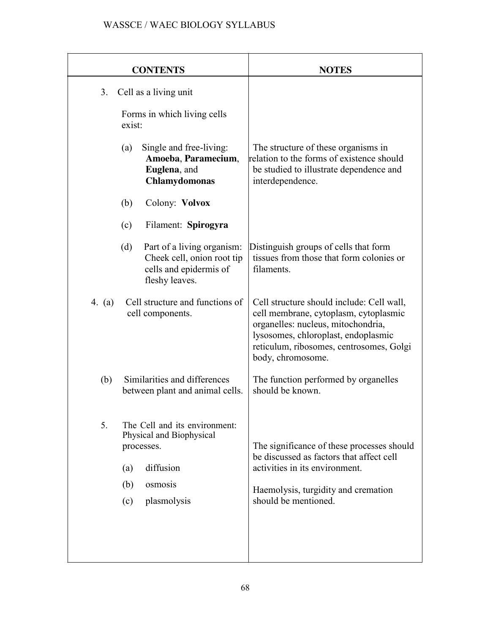|          | <b>CONTENTS</b>                                                                                                                     | <b>NOTES</b>                                                                                                                                                                                                                     |
|----------|-------------------------------------------------------------------------------------------------------------------------------------|----------------------------------------------------------------------------------------------------------------------------------------------------------------------------------------------------------------------------------|
| 3.       | Cell as a living unit                                                                                                               |                                                                                                                                                                                                                                  |
|          | Forms in which living cells<br>exist:                                                                                               |                                                                                                                                                                                                                                  |
|          | Single and free-living:<br>(a)<br>Amoeba, Paramecium,<br>Euglena, and<br><b>Chlamydomonas</b>                                       | The structure of these organisms in<br>relation to the forms of existence should<br>be studied to illustrate dependence and<br>interdependence.                                                                                  |
|          | Colony: Volvox<br>(b)                                                                                                               |                                                                                                                                                                                                                                  |
|          | (c)<br>Filament: Spirogyra                                                                                                          |                                                                                                                                                                                                                                  |
|          | Part of a living organism:<br>(d)<br>Cheek cell, onion root tip<br>cells and epidermis of<br>fleshy leaves.                         | Distinguish groups of cells that form<br>tissues from those that form colonies or<br>filaments.                                                                                                                                  |
| 4. $(a)$ | Cell structure and functions of<br>cell components.                                                                                 | Cell structure should include: Cell wall,<br>cell membrane, cytoplasm, cytoplasmic<br>organelles: nucleus, mitochondria,<br>lysosomes, chloroplast, endoplasmic<br>reticulum, ribosomes, centrosomes, Golgi<br>body, chromosome. |
| (b)      | Similarities and differences<br>between plant and animal cells.                                                                     | The function performed by organelles<br>should be known.                                                                                                                                                                         |
| 5.       | The Cell and its environment:<br>Physical and Biophysical<br>processes.<br>diffusion<br>(a)<br>(b)<br>osmosis<br>plasmolysis<br>(c) | The significance of these processes should<br>be discussed as factors that affect cell<br>activities in its environment.<br>Haemolysis, turgidity and cremation<br>should be mentioned.                                          |
|          |                                                                                                                                     |                                                                                                                                                                                                                                  |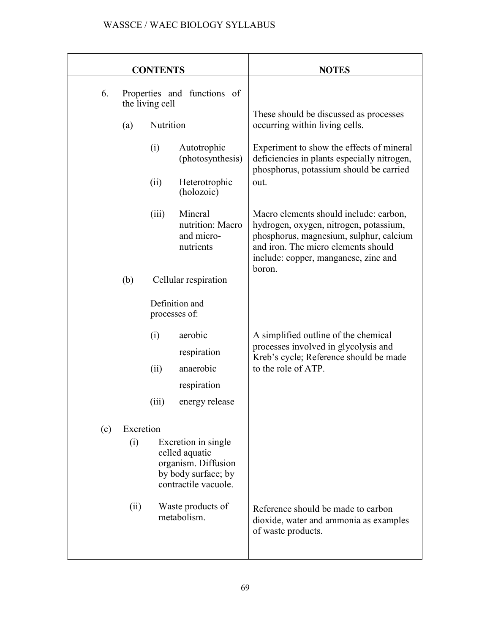|     |                                                | <b>CONTENTS</b> |                                                                                                             | <b>NOTES</b>                                                                                                                                                                                                         |
|-----|------------------------------------------------|-----------------|-------------------------------------------------------------------------------------------------------------|----------------------------------------------------------------------------------------------------------------------------------------------------------------------------------------------------------------------|
| 6.  | Properties and functions of<br>the living cell |                 |                                                                                                             |                                                                                                                                                                                                                      |
|     | (a)                                            | Nutrition       |                                                                                                             | These should be discussed as processes<br>occurring within living cells.                                                                                                                                             |
|     |                                                | (i)             | Autotrophic<br>(photosynthesis)                                                                             | Experiment to show the effects of mineral<br>deficiencies in plants especially nitrogen,<br>phosphorus, potassium should be carried                                                                                  |
|     |                                                | (ii)            | Heterotrophic<br>(holozoic)                                                                                 | out.                                                                                                                                                                                                                 |
|     |                                                | (iii)           | Mineral<br>nutrition: Macro<br>and micro-<br>nutrients                                                      | Macro elements should include: carbon,<br>hydrogen, oxygen, nitrogen, potassium,<br>phosphorus, magnesium, sulphur, calcium<br>and iron. The micro elements should<br>include: copper, manganese, zinc and<br>boron. |
|     | (b)                                            |                 | Cellular respiration                                                                                        |                                                                                                                                                                                                                      |
|     |                                                | processes of:   | Definition and                                                                                              |                                                                                                                                                                                                                      |
|     |                                                | (i)             | aerobic                                                                                                     | A simplified outline of the chemical                                                                                                                                                                                 |
|     |                                                |                 | respiration                                                                                                 | processes involved in glycolysis and<br>Kreb's cycle; Reference should be made                                                                                                                                       |
|     |                                                | (ii)            | anaerobic                                                                                                   | to the role of ATP.                                                                                                                                                                                                  |
|     |                                                |                 | respiration                                                                                                 |                                                                                                                                                                                                                      |
|     |                                                | (iii)           | energy release                                                                                              |                                                                                                                                                                                                                      |
| (c) | Excretion<br>(i)                               |                 | Excretion in single<br>celled aquatic<br>organism. Diffusion<br>by body surface; by<br>contractile vacuole. |                                                                                                                                                                                                                      |
|     | (ii)                                           |                 | Waste products of<br>metabolism.                                                                            | Reference should be made to carbon<br>dioxide, water and ammonia as examples<br>of waste products.                                                                                                                   |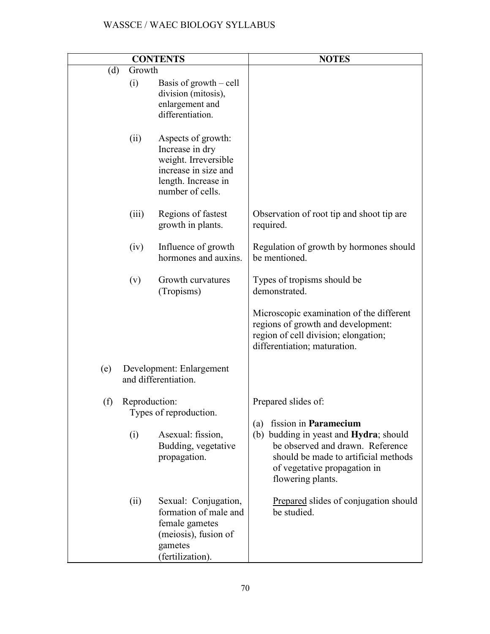|               | <b>CONTENTS</b>                                                                                                                  | <b>NOTES</b>                                                                                                                                                                                            |
|---------------|----------------------------------------------------------------------------------------------------------------------------------|---------------------------------------------------------------------------------------------------------------------------------------------------------------------------------------------------------|
| (d)<br>Growth |                                                                                                                                  |                                                                                                                                                                                                         |
| (i)           | Basis of growth $-$ cell<br>division (mitosis),<br>enlargement and<br>differentiation.                                           |                                                                                                                                                                                                         |
| (ii)          | Aspects of growth:<br>Increase in dry<br>weight. Irreversible<br>increase in size and<br>length. Increase in<br>number of cells. |                                                                                                                                                                                                         |
| (iii)         | Regions of fastest<br>growth in plants.                                                                                          | Observation of root tip and shoot tip are<br>required.                                                                                                                                                  |
| (iv)          | Influence of growth<br>hormones and auxins.                                                                                      | Regulation of growth by hormones should<br>be mentioned.                                                                                                                                                |
| (v)           | Growth curvatures<br>(Tropisms)                                                                                                  | Types of tropisms should be<br>demonstrated.                                                                                                                                                            |
|               |                                                                                                                                  | Microscopic examination of the different<br>regions of growth and development:<br>region of cell division; elongation;<br>differentiation; maturation.                                                  |
| (e)           | Development: Enlargement<br>and differentiation.                                                                                 |                                                                                                                                                                                                         |
| (f)           | Reproduction:<br>Types of reproduction.                                                                                          | Prepared slides of:                                                                                                                                                                                     |
| (i)           | Asexual: fission,<br>Budding, vegetative<br>propagation.                                                                         | fission in Paramecium<br>(a)<br>(b) budding in yeast and Hydra; should<br>be observed and drawn. Reference<br>should be made to artificial methods<br>of vegetative propagation in<br>flowering plants. |
| (ii)          | Sexual: Conjugation,<br>formation of male and<br>female gametes<br>(meiosis), fusion of<br>gametes<br>(fertilization).           | Prepared slides of conjugation should<br>be studied.                                                                                                                                                    |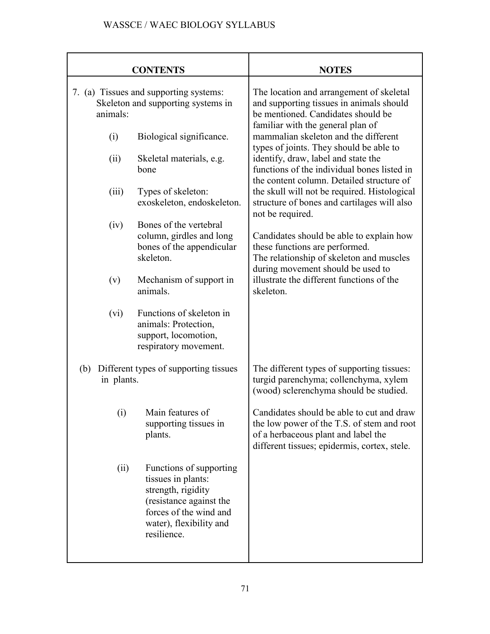|                                                            | <b>CONTENTS</b>                                                                                                                                                    | <b>NOTES</b>                                                                                                                                                                   |
|------------------------------------------------------------|--------------------------------------------------------------------------------------------------------------------------------------------------------------------|--------------------------------------------------------------------------------------------------------------------------------------------------------------------------------|
| animals:                                                   | 7. (a) Tissues and supporting systems:<br>Skeleton and supporting systems in                                                                                       | The location and arrangement of skeletal<br>and supporting tissues in animals should<br>be mentioned. Candidates should be                                                     |
| (i)                                                        | Biological significance.                                                                                                                                           | familiar with the general plan of<br>mammalian skeleton and the different<br>types of joints. They should be able to                                                           |
| (ii)                                                       | Skeletal materials, e.g.<br>bone                                                                                                                                   | identify, draw, label and state the<br>functions of the individual bones listed in                                                                                             |
| (iii)                                                      | Types of skeleton:<br>exoskeleton, endoskeleton.                                                                                                                   | the content column. Detailed structure of<br>the skull will not be required. Histological<br>structure of bones and cartilages will also<br>not be required.                   |
| (iv)                                                       | Bones of the vertebral<br>column, girdles and long<br>bones of the appendicular<br>skeleton.                                                                       | Candidates should be able to explain how<br>these functions are performed.<br>The relationship of skeleton and muscles<br>during movement should be used to                    |
| (v)                                                        | Mechanism of support in<br>animals.                                                                                                                                | illustrate the different functions of the<br>skeleton.                                                                                                                         |
| (vi)                                                       | Functions of skeleton in<br>animals: Protection,<br>support, locomotion,<br>respiratory movement.                                                                  |                                                                                                                                                                                |
| Different types of supporting tissues<br>(b)<br>in plants. |                                                                                                                                                                    | The different types of supporting tissues:<br>turgid parenchyma; collenchyma, xylem<br>(wood) sclerenchyma should be studied.                                                  |
| (i)                                                        | Main features of<br>supporting tissues in<br>plants.                                                                                                               | Candidates should be able to cut and draw<br>the low power of the T.S. of stem and root<br>of a herbaceous plant and label the<br>different tissues; epidermis, cortex, stele. |
| (ii)                                                       | Functions of supporting<br>tissues in plants:<br>strength, rigidity<br>(resistance against the<br>forces of the wind and<br>water), flexibility and<br>resilience. |                                                                                                                                                                                |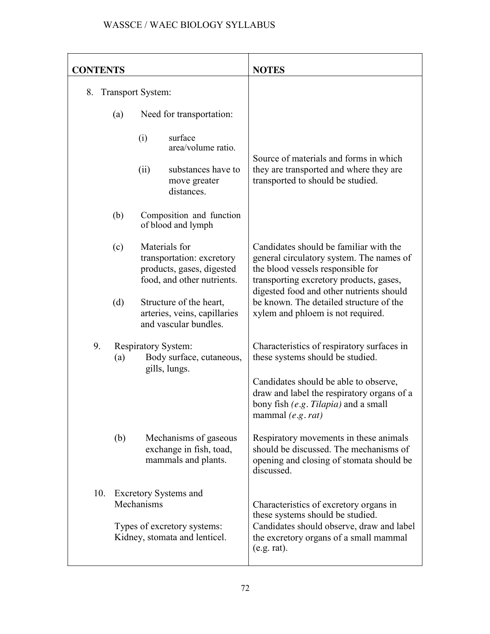| <b>CONTENTS</b>                                                                                              |                                                                                  | <b>NOTES</b>                                                                                                                                                                                                   |
|--------------------------------------------------------------------------------------------------------------|----------------------------------------------------------------------------------|----------------------------------------------------------------------------------------------------------------------------------------------------------------------------------------------------------------|
| <b>Transport System:</b><br>8.                                                                               |                                                                                  |                                                                                                                                                                                                                |
| (a)                                                                                                          | Need for transportation:                                                         |                                                                                                                                                                                                                |
| (i)                                                                                                          | surface<br>area/volume ratio.                                                    | Source of materials and forms in which                                                                                                                                                                         |
| (ii)                                                                                                         | substances have to<br>move greater<br>distances.                                 | they are transported and where they are<br>transported to should be studied.                                                                                                                                   |
| (b)                                                                                                          | Composition and function<br>of blood and lymph                                   |                                                                                                                                                                                                                |
| Materials for<br>(c)<br>transportation: excretory<br>products, gases, digested<br>food, and other nutrients. |                                                                                  | Candidates should be familiar with the<br>general circulatory system. The names of<br>the blood vessels responsible for<br>transporting excretory products, gases,<br>digested food and other nutrients should |
| (d)                                                                                                          | Structure of the heart,<br>arteries, veins, capillaries<br>and vascular bundles. | be known. The detailed structure of the<br>xylem and phloem is not required.                                                                                                                                   |
| 9.<br><b>Respiratory System:</b><br>(a)                                                                      | Body surface, cutaneous,<br>gills, lungs.                                        | Characteristics of respiratory surfaces in<br>these systems should be studied.                                                                                                                                 |
|                                                                                                              |                                                                                  | Candidates should be able to observe,<br>draw and label the respiratory organs of a<br>bony fish (e.g. Tilapia) and a small<br>mammal $(e.g. rat)$                                                             |
| (b)                                                                                                          | Mechanisms of gaseous<br>exchange in fish, toad,<br>mammals and plants.          | Respiratory movements in these animals<br>should be discussed. The mechanisms of<br>opening and closing of stomata should be<br>discussed.                                                                     |
| 10.<br><b>Excretory Systems and</b><br>Mechanisms                                                            |                                                                                  | Characteristics of excretory organs in<br>these systems should be studied.                                                                                                                                     |
|                                                                                                              | Types of excretory systems:<br>Kidney, stomata and lenticel.                     | Candidates should observe, draw and label<br>the excretory organs of a small mammal<br>(e.g. rat).                                                                                                             |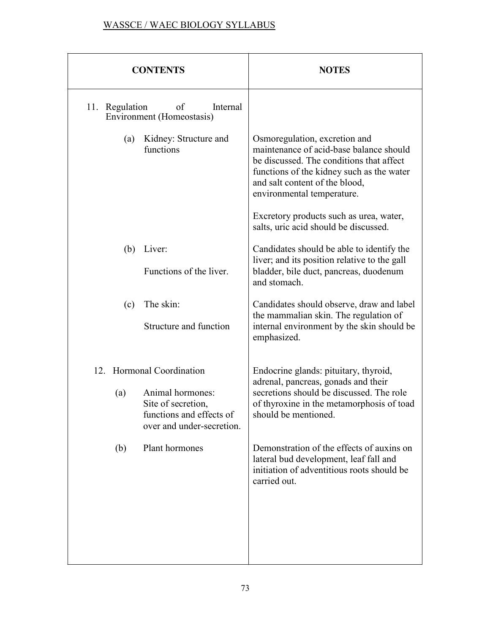| <b>CONTENTS</b>                                                                                        | <b>NOTES</b>                                                                                                                                                                                                                      |
|--------------------------------------------------------------------------------------------------------|-----------------------------------------------------------------------------------------------------------------------------------------------------------------------------------------------------------------------------------|
| 11. Regulation<br>of<br>Internal<br>Environment (Homeostasis)                                          |                                                                                                                                                                                                                                   |
| Kidney: Structure and<br>(a)<br>functions                                                              | Osmoregulation, excretion and<br>maintenance of acid-base balance should<br>be discussed. The conditions that affect<br>functions of the kidney such as the water<br>and salt content of the blood,<br>environmental temperature. |
|                                                                                                        | Excretory products such as urea, water,<br>salts, uric acid should be discussed.                                                                                                                                                  |
| Liver:<br>(b)<br>Functions of the liver.                                                               | Candidates should be able to identify the<br>liver; and its position relative to the gall<br>bladder, bile duct, pancreas, duodenum                                                                                               |
|                                                                                                        | and stomach.                                                                                                                                                                                                                      |
| The skin:<br>(c)<br>Structure and function                                                             | Candidates should observe, draw and label<br>the mammalian skin. The regulation of<br>internal environment by the skin should be<br>emphasized.                                                                                   |
| 12. Hormonal Coordination                                                                              | Endocrine glands: pituitary, thyroid,                                                                                                                                                                                             |
| Animal hormones:<br>(a)<br>Site of secretion,<br>functions and effects of<br>over and under-secretion. | adrenal, pancreas, gonads and their<br>secretions should be discussed. The role<br>of thyroxine in the metamorphosis of toad<br>should be mentioned.                                                                              |
| Plant hormones<br>(b)                                                                                  | Demonstration of the effects of auxins on<br>lateral bud development, leaf fall and<br>initiation of adventitious roots should be<br>carried out.                                                                                 |
|                                                                                                        |                                                                                                                                                                                                                                   |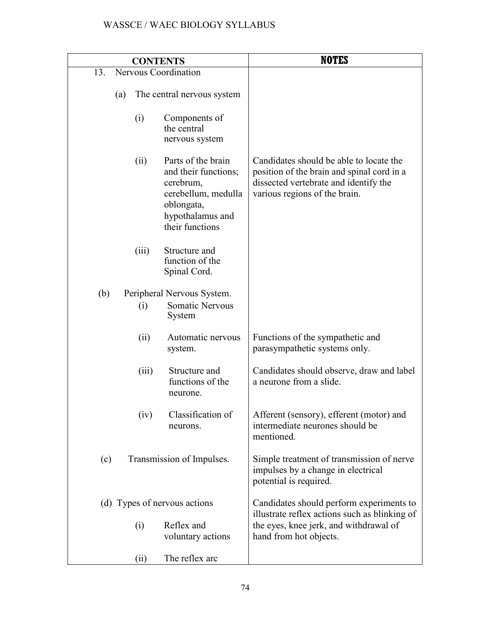|     | <b>CONTENTS</b>      |                                                                                                                                     | <b>NOTES</b>                                                                                                                                                    |
|-----|----------------------|-------------------------------------------------------------------------------------------------------------------------------------|-----------------------------------------------------------------------------------------------------------------------------------------------------------------|
| 13. | Nervous Coordination |                                                                                                                                     |                                                                                                                                                                 |
|     | (a)                  | The central nervous system                                                                                                          |                                                                                                                                                                 |
|     | (i)                  | Components of<br>the central<br>nervous system                                                                                      |                                                                                                                                                                 |
|     | (ii)                 | Parts of the brain<br>and their functions;<br>cerebrum,<br>cerebellum, medulla<br>oblongata,<br>hypothalamus and<br>their functions | Candidates should be able to locate the<br>position of the brain and spinal cord in a<br>dissected vertebrate and identify the<br>various regions of the brain. |
|     | (iii)                | Structure and<br>function of the<br>Spinal Cord.                                                                                    |                                                                                                                                                                 |
| (b) |                      | Peripheral Nervous System.                                                                                                          |                                                                                                                                                                 |
|     | (i)                  | <b>Somatic Nervous</b><br>System                                                                                                    |                                                                                                                                                                 |
|     | (ii)                 | Automatic nervous<br>system.                                                                                                        | Functions of the sympathetic and<br>parasympathetic systems only.                                                                                               |
|     | (iii)                | Structure and<br>functions of the<br>neurone.                                                                                       | Candidates should observe, draw and label<br>a neurone from a slide.                                                                                            |
|     | (iv)                 | Classification of<br>neurons.                                                                                                       | Afferent (sensory), efferent (motor) and<br>intermediate neurones should be<br>mentioned.                                                                       |
| (c) |                      | Transmission of Impulses.                                                                                                           | Simple treatment of transmission of nerve<br>impulses by a change in electrical<br>potential is required.                                                       |
|     |                      | (d) Types of nervous actions                                                                                                        | Candidates should perform experiments to                                                                                                                        |
|     | (i)                  | Reflex and<br>voluntary actions                                                                                                     | illustrate reflex actions such as blinking of<br>the eyes, knee jerk, and withdrawal of<br>hand from hot objects.                                               |
|     | (ii)                 | The reflex arc                                                                                                                      |                                                                                                                                                                 |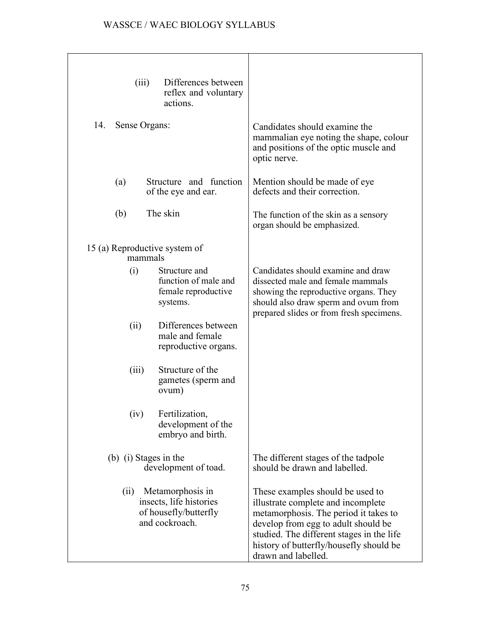| Differences between<br>(iii)<br>reflex and voluntary<br>actions.                               |                                                                                                                                                                                                                                                                       |
|------------------------------------------------------------------------------------------------|-----------------------------------------------------------------------------------------------------------------------------------------------------------------------------------------------------------------------------------------------------------------------|
| Sense Organs:<br>14.                                                                           | Candidates should examine the<br>mammalian eye noting the shape, colour<br>and positions of the optic muscle and<br>optic nerve.                                                                                                                                      |
| Structure and function<br>(a)<br>of the eye and ear.                                           | Mention should be made of eye<br>defects and their correction.                                                                                                                                                                                                        |
| The skin<br>(b)                                                                                | The function of the skin as a sensory<br>organ should be emphasized.                                                                                                                                                                                                  |
| 15 (a) Reproductive system of<br>mammals                                                       |                                                                                                                                                                                                                                                                       |
| Structure and<br>(i)<br>function of male and<br>female reproductive<br>systems.                | Candidates should examine and draw<br>dissected male and female mammals<br>showing the reproductive organs. They<br>should also draw sperm and ovum from<br>prepared slides or from fresh specimens.                                                                  |
| Differences between<br>(ii)<br>male and female<br>reproductive organs.                         |                                                                                                                                                                                                                                                                       |
| Structure of the<br>(iii)<br>gametes (sperm and<br>ovum)                                       |                                                                                                                                                                                                                                                                       |
| Fertilization,<br>(iv)<br>development of the<br>embryo and birth.                              |                                                                                                                                                                                                                                                                       |
| (b) (i) Stages in the<br>development of toad.                                                  | The different stages of the tadpole<br>should be drawn and labelled.                                                                                                                                                                                                  |
| Metamorphosis in<br>(ii)<br>insects, life histories<br>of housefly/butterfly<br>and cockroach. | These examples should be used to<br>illustrate complete and incomplete<br>metamorphosis. The period it takes to<br>develop from egg to adult should be<br>studied. The different stages in the life<br>history of butterfly/housefly should be<br>drawn and labelled. |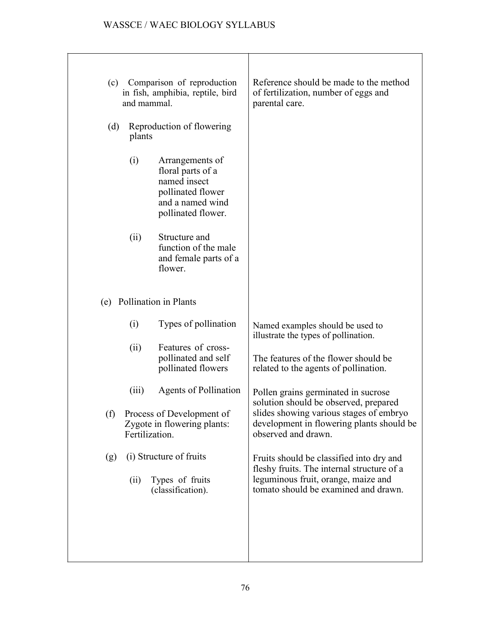| (c)<br>(d) | and mammal.<br>plants                                                          | Comparison of reproduction<br>in fish, amphibia, reptile, bird<br>Reproduction of flowering                         | Reference should be made to the method<br>of fertilization, number of eggs and<br>parental care.                                                                      |
|------------|--------------------------------------------------------------------------------|---------------------------------------------------------------------------------------------------------------------|-----------------------------------------------------------------------------------------------------------------------------------------------------------------------|
|            | (i)                                                                            | Arrangements of<br>floral parts of a<br>named insect<br>pollinated flower<br>and a named wind<br>pollinated flower. |                                                                                                                                                                       |
|            | (ii)                                                                           | Structure and<br>function of the male<br>and female parts of a<br>flower.                                           |                                                                                                                                                                       |
| (e)        |                                                                                | Pollination in Plants                                                                                               |                                                                                                                                                                       |
|            | (i)                                                                            | Types of pollination                                                                                                | Named examples should be used to<br>illustrate the types of pollination.                                                                                              |
|            | (ii)                                                                           | Features of cross-<br>pollinated and self<br>pollinated flowers                                                     | The features of the flower should be<br>related to the agents of pollination.                                                                                         |
|            | (iii)                                                                          | <b>Agents of Pollination</b>                                                                                        | Pollen grains germinated in sucrose<br>solution should be observed, prepared                                                                                          |
|            | (f) Process of Development of<br>Zygote in flowering plants:<br>Fertilization. |                                                                                                                     | slides showing various stages of embryo<br>development in flowering plants should be<br>observed and drawn.                                                           |
| (g)        | (ii)                                                                           | (i) Structure of fruits<br>Types of fruits<br>(classification).                                                     | Fruits should be classified into dry and<br>fleshy fruits. The internal structure of a<br>leguminous fruit, orange, maize and<br>tomato should be examined and drawn. |
|            |                                                                                |                                                                                                                     |                                                                                                                                                                       |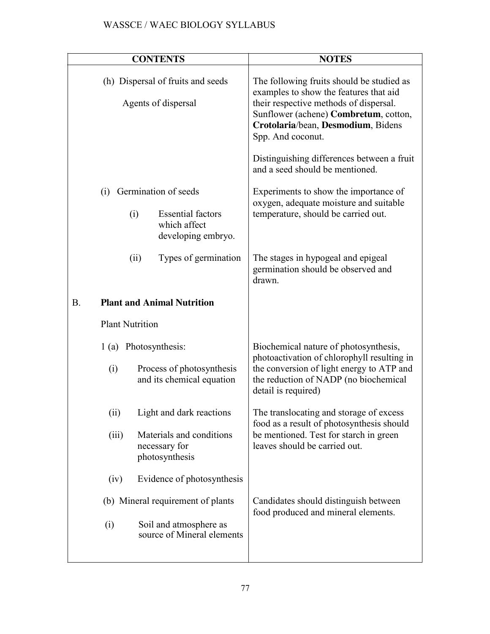|                        | <b>CONTENTS</b>                                                | <b>NOTES</b>                                                                                                                                                                                                                      |
|------------------------|----------------------------------------------------------------|-----------------------------------------------------------------------------------------------------------------------------------------------------------------------------------------------------------------------------------|
|                        |                                                                |                                                                                                                                                                                                                                   |
|                        | (h) Dispersal of fruits and seeds<br>Agents of dispersal       | The following fruits should be studied as<br>examples to show the features that aid<br>their respective methods of dispersal.<br>Sunflower (achene) Combretum, cotton,<br>Crotolaria/bean, Desmodium, Bidens<br>Spp. And coconut. |
|                        |                                                                | Distinguishing differences between a fruit<br>and a seed should be mentioned.                                                                                                                                                     |
| (i)                    | Germination of seeds                                           | Experiments to show the importance of<br>oxygen, adequate moisture and suitable                                                                                                                                                   |
| (i)                    | <b>Essential factors</b><br>which affect<br>developing embryo. | temperature, should be carried out.                                                                                                                                                                                               |
| (ii)                   | Types of germination                                           | The stages in hypogeal and epigeal<br>germination should be observed and<br>drawn.                                                                                                                                                |
| <b>B.</b>              | <b>Plant and Animal Nutrition</b>                              |                                                                                                                                                                                                                                   |
| <b>Plant Nutrition</b> |                                                                |                                                                                                                                                                                                                                   |
|                        | 1 (a) Photosynthesis:                                          | Biochemical nature of photosynthesis,<br>photoactivation of chlorophyll resulting in                                                                                                                                              |
| (i)                    | Process of photosynthesis<br>and its chemical equation         | the conversion of light energy to ATP and<br>the reduction of NADP (no biochemical<br>detail is required)                                                                                                                         |
| (ii)                   | Light and dark reactions                                       | The translocating and storage of excess<br>food as a result of photosynthesis should                                                                                                                                              |
| (iii)                  | Materials and conditions<br>necessary for<br>photosynthesis    | be mentioned. Test for starch in green<br>leaves should be carried out.                                                                                                                                                           |
| (iv)                   | Evidence of photosynthesis                                     |                                                                                                                                                                                                                                   |
|                        | (b) Mineral requirement of plants                              | Candidates should distinguish between<br>food produced and mineral elements.                                                                                                                                                      |
| (i)                    | Soil and atmosphere as<br>source of Mineral elements           |                                                                                                                                                                                                                                   |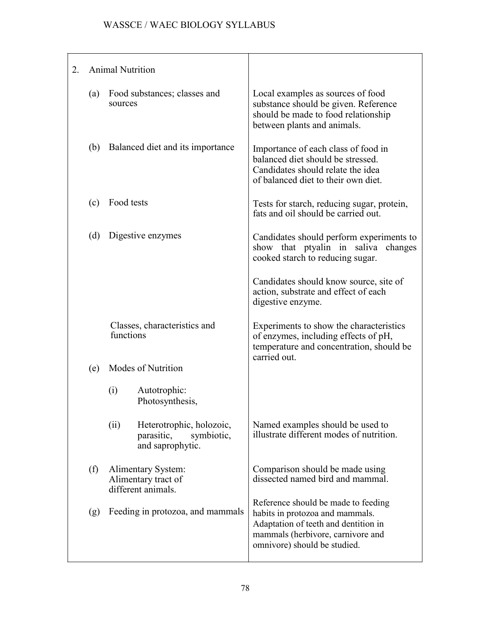| 2. |     | <b>Animal Nutrition</b>                                         |                                                                          |                                                                                                                                                                                     |
|----|-----|-----------------------------------------------------------------|--------------------------------------------------------------------------|-------------------------------------------------------------------------------------------------------------------------------------------------------------------------------------|
|    | (a) | Food substances; classes and<br>sources                         |                                                                          | Local examples as sources of food<br>substance should be given. Reference<br>should be made to food relationship<br>between plants and animals.                                     |
|    | (b) | Balanced diet and its importance                                |                                                                          | Importance of each class of food in<br>balanced diet should be stressed.<br>Candidates should relate the idea<br>of balanced diet to their own diet.                                |
|    | (c) | Food tests                                                      |                                                                          | Tests for starch, reducing sugar, protein,<br>fats and oil should be carried out.                                                                                                   |
|    | (d) | Digestive enzymes                                               |                                                                          | Candidates should perform experiments to<br>show that ptyalin in saliva<br>changes<br>cooked starch to reducing sugar.                                                              |
|    |     |                                                                 |                                                                          | Candidates should know source, site of<br>action, substrate and effect of each<br>digestive enzyme.                                                                                 |
|    |     | Classes, characteristics and<br>functions                       |                                                                          | Experiments to show the characteristics<br>of enzymes, including effects of pH,<br>temperature and concentration, should be<br>carried out.                                         |
|    | (e) | Modes of Nutrition                                              |                                                                          |                                                                                                                                                                                     |
|    |     | (i)                                                             | Autotrophic:<br>Photosynthesis,                                          |                                                                                                                                                                                     |
|    |     | (ii)                                                            | Heterotrophic, holozoic,<br>parasitic,<br>symbiotic,<br>and saprophytic. | Named examples should be used to<br>illustrate different modes of nutrition.                                                                                                        |
|    | (f) | Alimentary System:<br>Alimentary tract of<br>different animals. |                                                                          | Comparison should be made using<br>dissected named bird and mammal.                                                                                                                 |
|    | (g) | Feeding in protozoa, and mammals                                |                                                                          | Reference should be made to feeding<br>habits in protozoa and mammals.<br>Adaptation of teeth and dentition in<br>mammals (herbivore, carnivore and<br>omnivore) should be studied. |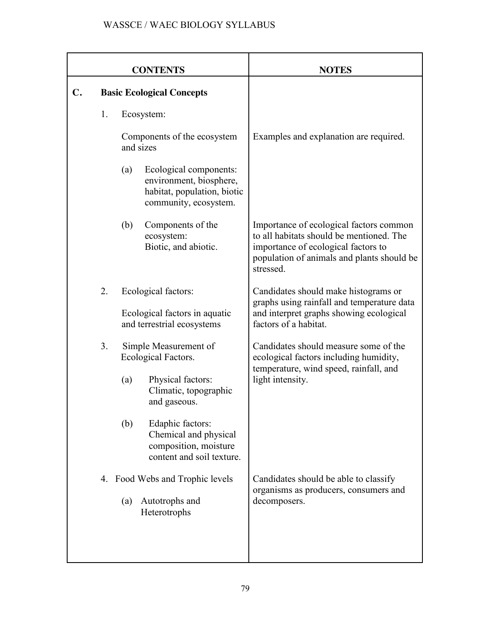|                | <b>CONTENTS</b>                                                                                                        | <b>NOTES</b>                                                                                                                                                                          |
|----------------|------------------------------------------------------------------------------------------------------------------------|---------------------------------------------------------------------------------------------------------------------------------------------------------------------------------------|
| $\mathbf{C}$ . | <b>Basic Ecological Concepts</b>                                                                                       |                                                                                                                                                                                       |
| 1.             | Ecosystem:                                                                                                             |                                                                                                                                                                                       |
|                | Components of the ecosystem<br>and sizes                                                                               | Examples and explanation are required.                                                                                                                                                |
|                | (a)<br>Ecological components:<br>environment, biosphere,<br>habitat, population, biotic<br>community, ecosystem.       |                                                                                                                                                                                       |
|                | (b)<br>Components of the<br>ecosystem:<br>Biotic, and abiotic.                                                         | Importance of ecological factors common<br>to all habitats should be mentioned. The<br>importance of ecological factors to<br>population of animals and plants should be<br>stressed. |
| 2.             | Ecological factors:<br>Ecological factors in aquatic<br>and terrestrial ecosystems                                     | Candidates should make histograms or<br>graphs using rainfall and temperature data<br>and interpret graphs showing ecological<br>factors of a habitat.                                |
| 3.             | Simple Measurement of<br>Ecological Factors.<br>Physical factors:<br>(a)<br>Climatic, topographic                      | Candidates should measure some of the<br>ecological factors including humidity,<br>temperature, wind speed, rainfall, and<br>light intensity.                                         |
|                | and gaseous.<br>(b)<br>Edaphic factors:<br>Chemical and physical<br>composition, moisture<br>content and soil texture. |                                                                                                                                                                                       |
|                | 4. Food Webs and Trophic levels<br>Autotrophs and<br>(a)<br>Heterotrophs                                               | Candidates should be able to classify<br>organisms as producers, consumers and<br>decomposers.                                                                                        |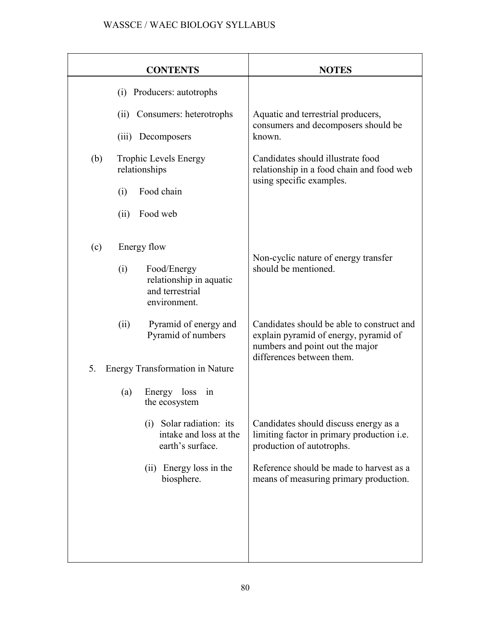|     | <b>CONTENTS</b>                                                                  | <b>NOTES</b>                                                                                                                                        |
|-----|----------------------------------------------------------------------------------|-----------------------------------------------------------------------------------------------------------------------------------------------------|
|     | (i) Producers: autotrophs                                                        |                                                                                                                                                     |
|     | Consumers: heterotrophs<br>(ii)                                                  | Aquatic and terrestrial producers,                                                                                                                  |
|     | (iii) Decomposers                                                                | consumers and decomposers should be<br>known.                                                                                                       |
| (b) | <b>Trophic Levels Energy</b><br>relationships                                    | Candidates should illustrate food<br>relationship in a food chain and food web<br>using specific examples.                                          |
|     | Food chain<br>(i)                                                                |                                                                                                                                                     |
|     | (ii)<br>Food web                                                                 |                                                                                                                                                     |
| (c) | Energy flow                                                                      | Non-cyclic nature of energy transfer                                                                                                                |
|     | (i)<br>Food/Energy<br>relationship in aquatic<br>and terrestrial<br>environment. | should be mentioned.                                                                                                                                |
|     | (ii)<br>Pyramid of energy and<br>Pyramid of numbers                              | Candidates should be able to construct and<br>explain pyramid of energy, pyramid of<br>numbers and point out the major<br>differences between them. |
| 5.  | <b>Energy Transformation in Nature</b>                                           |                                                                                                                                                     |
|     | Energy loss<br>(a)<br>1n<br>the ecosystem                                        |                                                                                                                                                     |
|     | (i) Solar radiation: its<br>intake and loss at the<br>earth's surface.           | Candidates should discuss energy as a<br>limiting factor in primary production i.e.<br>production of autotrophs.                                    |
|     | (ii) Energy loss in the<br>biosphere.                                            | Reference should be made to harvest as a<br>means of measuring primary production.                                                                  |
|     |                                                                                  |                                                                                                                                                     |
|     |                                                                                  |                                                                                                                                                     |
|     |                                                                                  |                                                                                                                                                     |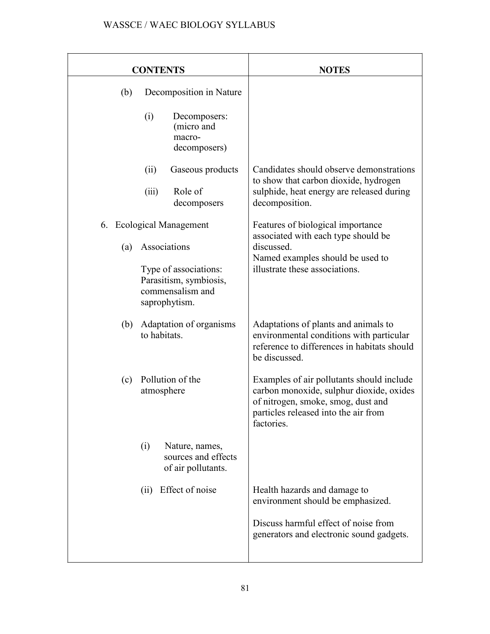| <b>CONTENTS</b>                                                                                                                         | <b>NOTES</b>                                                                                                                                                                      |
|-----------------------------------------------------------------------------------------------------------------------------------------|-----------------------------------------------------------------------------------------------------------------------------------------------------------------------------------|
| Decomposition in Nature<br>(b)<br>(i)<br>Decomposers:<br>(micro and<br>macro-<br>decomposers)                                           |                                                                                                                                                                                   |
| (ii)<br>Gaseous products<br>Role of<br>(iii)<br>decomposers                                                                             | Candidates should observe demonstrations<br>to show that carbon dioxide, hydrogen<br>sulphide, heat energy are released during<br>decomposition.                                  |
| 6. Ecological Management<br>Associations<br>(a)<br>Type of associations:<br>Parasitism, symbiosis,<br>commensalism and<br>saprophytism. | Features of biological importance<br>associated with each type should be<br>discussed.<br>Named examples should be used to<br>illustrate these associations.                      |
| Adaptation of organisms<br>(b)<br>to habitats.                                                                                          | Adaptations of plants and animals to<br>environmental conditions with particular<br>reference to differences in habitats should<br>be discussed.                                  |
| Pollution of the<br>(c)<br>atmosphere                                                                                                   | Examples of air pollutants should include<br>carbon monoxide, sulphur dioxide, oxides<br>of nitrogen, smoke, smog, dust and<br>particles released into the air from<br>factories. |
| Nature, names,<br>(i)<br>sources and effects<br>of air pollutants.                                                                      |                                                                                                                                                                                   |
| Effect of noise<br>(ii)                                                                                                                 | Health hazards and damage to<br>environment should be emphasized.<br>Discuss harmful effect of noise from<br>generators and electronic sound gadgets.                             |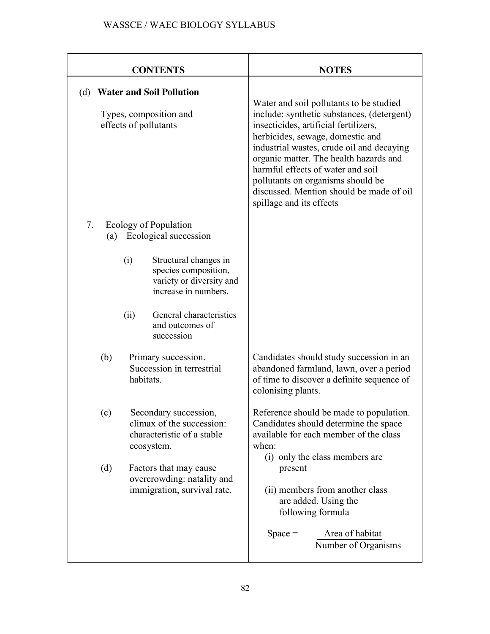| <b>CONTENTS</b>                                                                                                                                                                                                                             | <b>NOTES</b>                                                                                                                                                                                                                                                                                                                                                                                                |
|---------------------------------------------------------------------------------------------------------------------------------------------------------------------------------------------------------------------------------------------|-------------------------------------------------------------------------------------------------------------------------------------------------------------------------------------------------------------------------------------------------------------------------------------------------------------------------------------------------------------------------------------------------------------|
| <b>Water and Soil Pollution</b><br>(d)<br>Types, composition and<br>effects of pollutants                                                                                                                                                   | Water and soil pollutants to be studied<br>include: synthetic substances, (detergent)<br>insecticides, artificial fertilizers,<br>herbicides, sewage, domestic and<br>industrial wastes, crude oil and decaying<br>organic matter. The health hazards and<br>harmful effects of water and soil<br>pollutants on organisms should be<br>discussed. Mention should be made of oil<br>spillage and its effects |
| 7.<br>Ecology of Population<br>Ecological succession<br>(a)<br>Structural changes in<br>(i)<br>species composition,<br>variety or diversity and<br>increase in numbers.<br>General characteristics<br>(ii)<br>and outcomes of<br>succession |                                                                                                                                                                                                                                                                                                                                                                                                             |
| (b)<br>Primary succession.<br>Succession in terrestrial<br>habitats.                                                                                                                                                                        | Candidates should study succession in an<br>abandoned farmland, lawn, over a period<br>of time to discover a definite sequence of<br>colonising plants.                                                                                                                                                                                                                                                     |
| Secondary succession,<br>(c)<br>climax of the succession:<br>characteristic of a stable<br>ecosystem.<br>(d)<br>Factors that may cause<br>overcrowding: natality and                                                                        | Reference should be made to population.<br>Candidates should determine the space<br>available for each member of the class<br>when:<br>(i) only the class members are<br>present                                                                                                                                                                                                                            |
| immigration, survival rate.                                                                                                                                                                                                                 | (ii) members from another class<br>are added. Using the<br>following formula<br>Area of habitat<br>$Space =$<br>Number of Organisms                                                                                                                                                                                                                                                                         |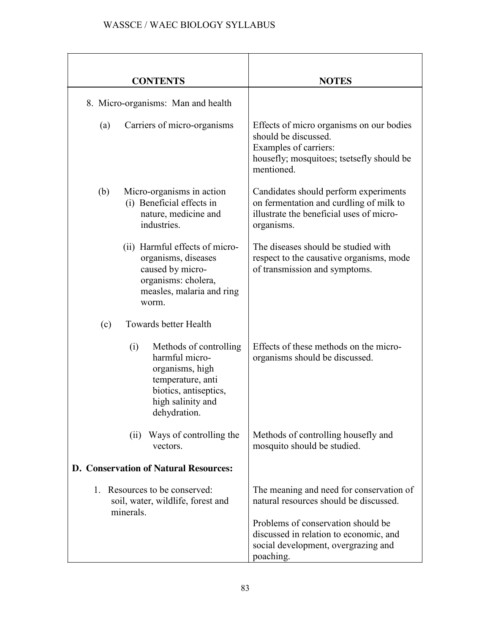| <b>CONTENTS</b>                                                                                                                                       | <b>NOTES</b>                                                                                                                                                                                                           |
|-------------------------------------------------------------------------------------------------------------------------------------------------------|------------------------------------------------------------------------------------------------------------------------------------------------------------------------------------------------------------------------|
| 8. Micro-organisms: Man and health                                                                                                                    |                                                                                                                                                                                                                        |
| Carriers of micro-organisms<br>(a)                                                                                                                    | Effects of micro organisms on our bodies<br>should be discussed.<br>Examples of carriers:<br>housefly; mosquitoes; tsetsefly should be<br>mentioned.                                                                   |
| Micro-organisms in action<br>(b)<br>(i) Beneficial effects in<br>nature, medicine and<br>industries.                                                  | Candidates should perform experiments<br>on fermentation and curdling of milk to<br>illustrate the beneficial uses of micro-<br>organisms.                                                                             |
| (ii) Harmful effects of micro-<br>organisms, diseases<br>caused by micro-<br>organisms: cholera,<br>measles, malaria and ring<br>worm.                | The diseases should be studied with<br>respect to the causative organisms, mode<br>of transmission and symptoms.                                                                                                       |
| Towards better Health<br>(c)                                                                                                                          |                                                                                                                                                                                                                        |
| Methods of controlling<br>(i)<br>harmful micro-<br>organisms, high<br>temperature, anti<br>biotics, antiseptics,<br>high salinity and<br>dehydration. | Effects of these methods on the micro-<br>organisms should be discussed.                                                                                                                                               |
| Ways of controlling the<br>(i)<br>vectors.                                                                                                            | Methods of controlling housefly and<br>mosquito should be studied.                                                                                                                                                     |
| <b>D. Conservation of Natural Resources:</b>                                                                                                          |                                                                                                                                                                                                                        |
| Resources to be conserved:<br>1.<br>soil, water, wildlife, forest and<br>minerals.                                                                    | The meaning and need for conservation of<br>natural resources should be discussed.<br>Problems of conservation should be<br>discussed in relation to economic, and<br>social development, overgrazing and<br>poaching. |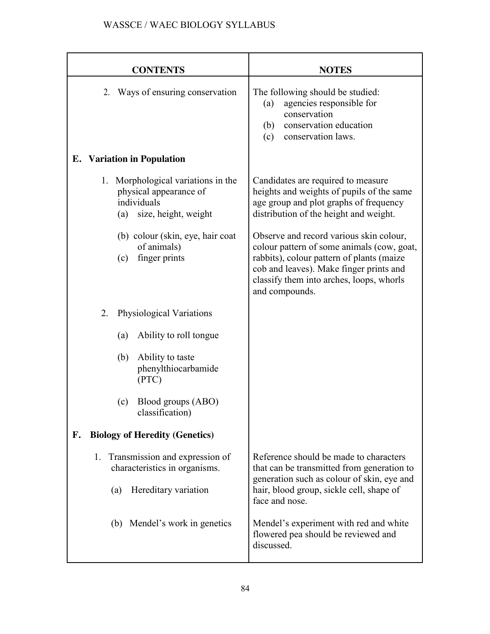| <b>CONTENTS</b>                                                                                                                                               | <b>NOTES</b>                                                                                                                                                                                                                                                 |
|---------------------------------------------------------------------------------------------------------------------------------------------------------------|--------------------------------------------------------------------------------------------------------------------------------------------------------------------------------------------------------------------------------------------------------------|
| Ways of ensuring conservation<br>2.                                                                                                                           | The following should be studied:<br>agencies responsible for<br>(a)<br>conservation<br>conservation education<br>(b)<br>conservation laws.<br>(c)                                                                                                            |
| <b>E.</b> Variation in Population                                                                                                                             |                                                                                                                                                                                                                                                              |
| 1. Morphological variations in the<br>physical appearance of<br>individuals<br>size, height, weight<br>(a)<br>(b) colour (skin, eye, hair coat<br>of animals) | Candidates are required to measure<br>heights and weights of pupils of the same<br>age group and plot graphs of frequency<br>distribution of the height and weight.<br>Observe and record various skin colour,<br>colour pattern of some animals (cow, goat, |
| finger prints<br>(c)                                                                                                                                          | rabbits), colour pattern of plants (maize<br>cob and leaves). Make finger prints and<br>classify them into arches, loops, whorls<br>and compounds.                                                                                                           |
| 2.<br>Physiological Variations                                                                                                                                |                                                                                                                                                                                                                                                              |
| Ability to roll tongue<br>(a)                                                                                                                                 |                                                                                                                                                                                                                                                              |
| (b)<br>Ability to taste<br>phenylthiocarbamide<br>(PTC)                                                                                                       |                                                                                                                                                                                                                                                              |
| Blood groups (ABO)<br>(c)<br>classification)                                                                                                                  |                                                                                                                                                                                                                                                              |
| <b>Biology of Heredity (Genetics)</b><br>F.                                                                                                                   |                                                                                                                                                                                                                                                              |
| Transmission and expression of<br>1.<br>characteristics in organisms.                                                                                         | Reference should be made to characters<br>that can be transmitted from generation to<br>generation such as colour of skin, eye and                                                                                                                           |
| Hereditary variation<br>(a)                                                                                                                                   | hair, blood group, sickle cell, shape of<br>face and nose.                                                                                                                                                                                                   |
| (b) Mendel's work in genetics                                                                                                                                 | Mendel's experiment with red and white<br>flowered pea should be reviewed and<br>discussed.                                                                                                                                                                  |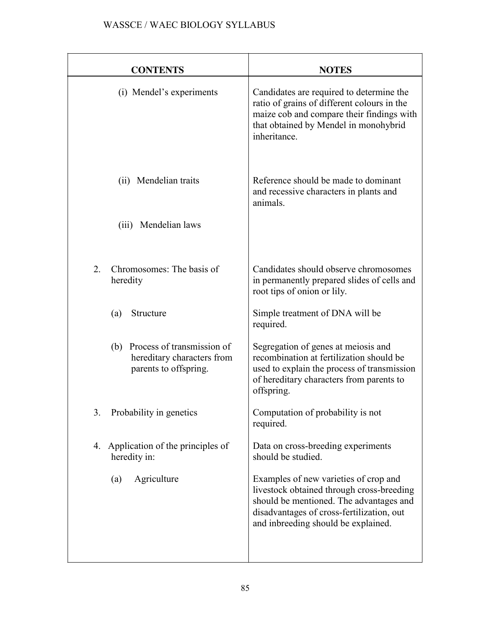| <b>CONTENTS</b>                                                                          | <b>NOTES</b>                                                                                                                                                                                                      |
|------------------------------------------------------------------------------------------|-------------------------------------------------------------------------------------------------------------------------------------------------------------------------------------------------------------------|
| (i) Mendel's experiments                                                                 | Candidates are required to determine the<br>ratio of grains of different colours in the<br>maize cob and compare their findings with<br>that obtained by Mendel in monohybrid<br>inheritance.                     |
| (ii) Mendelian traits                                                                    | Reference should be made to dominant<br>and recessive characters in plants and<br>animals.                                                                                                                        |
| (iii) Mendelian laws                                                                     |                                                                                                                                                                                                                   |
| Chromosomes: The basis of<br>2.<br>heredity                                              | Candidates should observe chromosomes<br>in permanently prepared slides of cells and<br>root tips of onion or lily.                                                                                               |
| Structure<br>(a)                                                                         | Simple treatment of DNA will be<br>required.                                                                                                                                                                      |
| Process of transmission of<br>(b)<br>hereditary characters from<br>parents to offspring. | Segregation of genes at meiosis and<br>recombination at fertilization should be<br>used to explain the process of transmission<br>of hereditary characters from parents to<br>offspring.                          |
| Probability in genetics<br>3.                                                            | Computation of probability is not<br>required.                                                                                                                                                                    |
| Application of the principles of<br>4.<br>heredity in:                                   | Data on cross-breeding experiments<br>should be studied.                                                                                                                                                          |
| Agriculture<br>(a)                                                                       | Examples of new varieties of crop and<br>livestock obtained through cross-breeding<br>should be mentioned. The advantages and<br>disadvantages of cross-fertilization, out<br>and inbreeding should be explained. |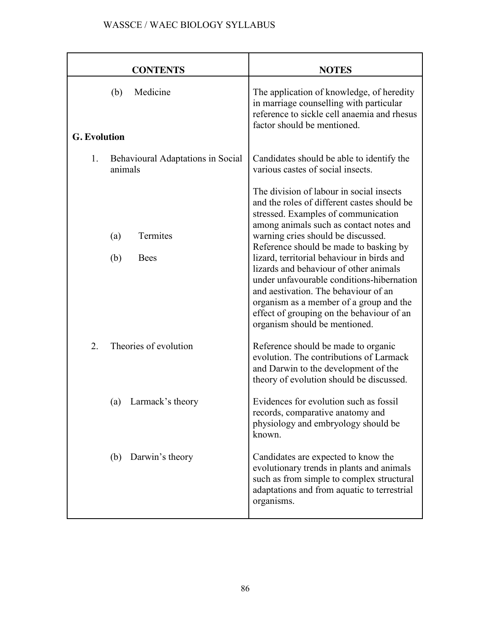| <b>CONTENTS</b>                                           | <b>NOTES</b>                                                                                                                                                                                                                                                                                                                                                                                                                                                                                                                                                    |
|-----------------------------------------------------------|-----------------------------------------------------------------------------------------------------------------------------------------------------------------------------------------------------------------------------------------------------------------------------------------------------------------------------------------------------------------------------------------------------------------------------------------------------------------------------------------------------------------------------------------------------------------|
| Medicine<br>(b)<br><b>G.</b> Evolution                    | The application of knowledge, of heredity<br>in marriage counselling with particular<br>reference to sickle cell anaemia and rhesus<br>factor should be mentioned.                                                                                                                                                                                                                                                                                                                                                                                              |
| 1.<br><b>Behavioural Adaptations in Social</b><br>animals | Candidates should be able to identify the<br>various castes of social insects.                                                                                                                                                                                                                                                                                                                                                                                                                                                                                  |
| Termites<br>(a)<br>(b)<br><b>Bees</b>                     | The division of labour in social insects<br>and the roles of different castes should be<br>stressed. Examples of communication<br>among animals such as contact notes and<br>warning cries should be discussed.<br>Reference should be made to basking by<br>lizard, territorial behaviour in birds and<br>lizards and behaviour of other animals<br>under unfavourable conditions-hibernation<br>and aestivation. The behaviour of an<br>organism as a member of a group and the<br>effect of grouping on the behaviour of an<br>organism should be mentioned. |
| Theories of evolution<br>2.                               | Reference should be made to organic<br>evolution. The contributions of Larmack<br>and Darwin to the development of the<br>theory of evolution should be discussed.                                                                                                                                                                                                                                                                                                                                                                                              |
| Larmack's theory<br>(a)                                   | Evidences for evolution such as fossil<br>records, comparative anatomy and<br>physiology and embryology should be<br>known.                                                                                                                                                                                                                                                                                                                                                                                                                                     |
| Darwin's theory<br>(b)                                    | Candidates are expected to know the<br>evolutionary trends in plants and animals<br>such as from simple to complex structural<br>adaptations and from aquatic to terrestrial<br>organisms.                                                                                                                                                                                                                                                                                                                                                                      |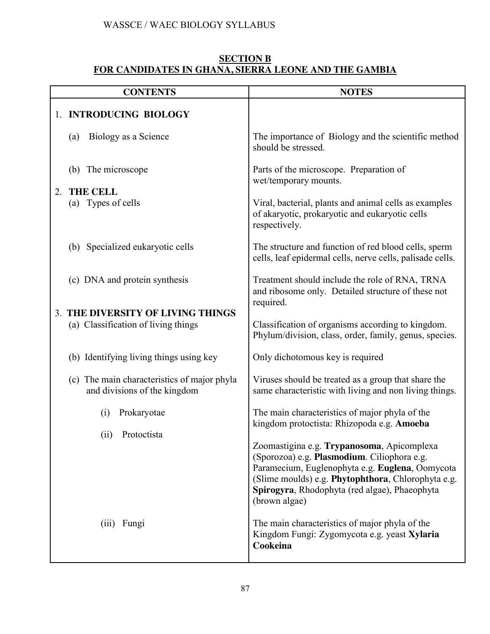#### **[SECTION B](http://www.larnedu.com/wassce-waec-syllabus/) [FOR CANDIDATES IN GHANA, SIERRA LEONE AND THE GAMBIA](http://www.larnedu.com/wassce-waec-syllabus/)**

|    | <b>CONTENTS</b>                                                             | <b>NOTES</b>                                                                                                                                                                                                                                                         |
|----|-----------------------------------------------------------------------------|----------------------------------------------------------------------------------------------------------------------------------------------------------------------------------------------------------------------------------------------------------------------|
|    | 1. INTRODUCING BIOLOGY                                                      |                                                                                                                                                                                                                                                                      |
|    | Biology as a Science<br>(a)                                                 | The importance of Biology and the scientific method<br>should be stressed.                                                                                                                                                                                           |
| 2. | (b) The microscope<br><b>THE CELL</b>                                       | Parts of the microscope. Preparation of<br>wet/temporary mounts.                                                                                                                                                                                                     |
|    | (a) Types of cells                                                          | Viral, bacterial, plants and animal cells as examples<br>of akaryotic, prokaryotic and eukaryotic cells<br>respectively.                                                                                                                                             |
|    | (b) Specialized eukaryotic cells                                            | The structure and function of red blood cells, sperm<br>cells, leaf epidermal cells, nerve cells, palisade cells.                                                                                                                                                    |
|    | (c) DNA and protein synthesis                                               | Treatment should include the role of RNA, TRNA<br>and ribosome only. Detailed structure of these not<br>required.                                                                                                                                                    |
|    | 3. THE DIVERSITY OF LIVING THINGS<br>(a) Classification of living things    |                                                                                                                                                                                                                                                                      |
|    |                                                                             | Classification of organisms according to kingdom.<br>Phylum/division, class, order, family, genus, species.                                                                                                                                                          |
|    | (b) Identifying living things using key                                     | Only dichotomous key is required                                                                                                                                                                                                                                     |
|    | (c) The main characteristics of major phyla<br>and divisions of the kingdom | Viruses should be treated as a group that share the<br>same characteristic with living and non living things.                                                                                                                                                        |
|    | Prokaryotae<br>(i)                                                          | The main characteristics of major phyla of the<br>kingdom protoctista: Rhizopoda e.g. Amoeba                                                                                                                                                                         |
|    | Protoctista<br>(ii)                                                         | Zoomastigina e.g. Trypanosoma, Apicomplexa<br>(Sporozoa) e.g. Plasmodium. Ciliophora e.g.<br>Paramecium, Euglenophyta e.g. Euglena, Oomycota<br>(Slime moulds) e.g. Phytophthora, Chlorophyta e.g.<br>Spirogyra, Rhodophyta (red algae), Phaeophyta<br>(brown algae) |
|    | (iii) Fungi                                                                 | The main characteristics of major phyla of the<br>Kingdom Fungi: Zygomycota e.g. yeast Xylaria<br>Cookeina                                                                                                                                                           |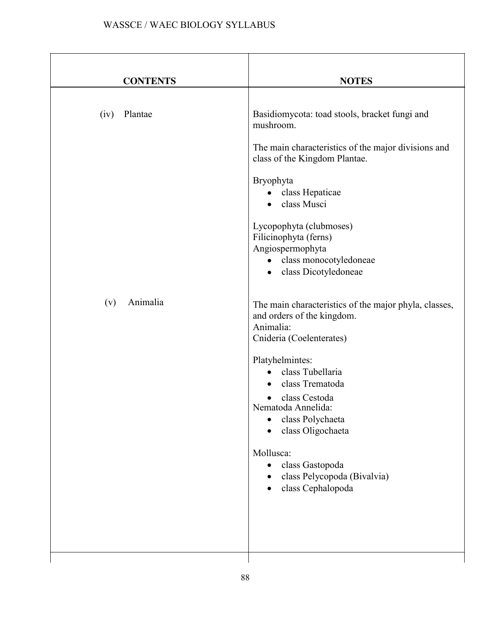| <b>CONTENTS</b> | <b>NOTES</b>                                                                                                                                                                                                                                                                                                                                                            |
|-----------------|-------------------------------------------------------------------------------------------------------------------------------------------------------------------------------------------------------------------------------------------------------------------------------------------------------------------------------------------------------------------------|
| Plantae<br>(iv) | Basidiomycota: toad stools, bracket fungi and<br>mushroom.<br>The main characteristics of the major divisions and<br>class of the Kingdom Plantae.<br>Bryophyta<br>class Hepaticae<br>class Musci<br>$\bullet$<br>Lycopophyta (clubmoses)<br>Filicinophyta (ferns)<br>Angiospermophyta<br>class monocotyledoneae<br>$\bullet$<br>class Dicotyledoneae<br>$\bullet$      |
| Animalia<br>(v) | The main characteristics of the major phyla, classes,<br>and orders of the kingdom.<br>Animalia:<br>Cnideria (Coelenterates)<br>Platyhelmintes:<br>class Tubellaria<br>class Trematoda<br>class Cestoda<br>Nematoda Annelida:<br>class Polychaeta<br>class Oligochaeta<br>Mollusca:<br>class Gastopoda<br>$\bullet$<br>class Pelycopoda (Bivalvia)<br>class Cephalopoda |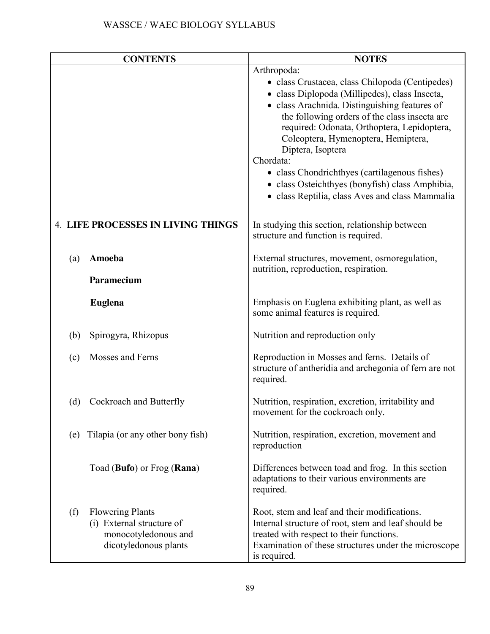|     | <b>CONTENTS</b>                                                                                       | <b>NOTES</b>                                                                                                                                                                                                                                                                                                                                                                                                                                                                                      |
|-----|-------------------------------------------------------------------------------------------------------|---------------------------------------------------------------------------------------------------------------------------------------------------------------------------------------------------------------------------------------------------------------------------------------------------------------------------------------------------------------------------------------------------------------------------------------------------------------------------------------------------|
|     |                                                                                                       | Arthropoda:<br>• class Crustacea, class Chilopoda (Centipedes)<br>· class Diplopoda (Millipedes), class Insecta,<br>· class Arachnida. Distinguishing features of<br>the following orders of the class insecta are<br>required: Odonata, Orthoptera, Lepidoptera,<br>Coleoptera, Hymenoptera, Hemiptera,<br>Diptera, Isoptera<br>Chordata:<br>• class Chondrichthyes (cartilagenous fishes)<br>• class Osteichthyes (bonyfish) class Amphibia,<br>• class Reptilia, class Aves and class Mammalia |
|     | <b>4. LIFE PROCESSES IN LIVING THINGS</b>                                                             | In studying this section, relationship between<br>structure and function is required.                                                                                                                                                                                                                                                                                                                                                                                                             |
| (a) | Amoeba                                                                                                | External structures, movement, osmoregulation,<br>nutrition, reproduction, respiration.                                                                                                                                                                                                                                                                                                                                                                                                           |
|     | Paramecium                                                                                            |                                                                                                                                                                                                                                                                                                                                                                                                                                                                                                   |
|     | <b>Euglena</b>                                                                                        | Emphasis on Euglena exhibiting plant, as well as<br>some animal features is required.                                                                                                                                                                                                                                                                                                                                                                                                             |
| (b) | Spirogyra, Rhizopus                                                                                   | Nutrition and reproduction only                                                                                                                                                                                                                                                                                                                                                                                                                                                                   |
| (c) | Mosses and Ferns                                                                                      | Reproduction in Mosses and ferns. Details of<br>structure of antheridia and archegonia of fern are not<br>required.                                                                                                                                                                                                                                                                                                                                                                               |
| (d) | Cockroach and Butterfly                                                                               | Nutrition, respiration, excretion, irritability and<br>movement for the cockroach only.                                                                                                                                                                                                                                                                                                                                                                                                           |
| (e) | Tilapia (or any other bony fish)                                                                      | Nutrition, respiration, excretion, movement and<br>reproduction                                                                                                                                                                                                                                                                                                                                                                                                                                   |
|     | Toad (Bufo) or Frog (Rana)                                                                            | Differences between toad and frog. In this section<br>adaptations to their various environments are<br>required.                                                                                                                                                                                                                                                                                                                                                                                  |
| (f) | <b>Flowering Plants</b><br>(i) External structure of<br>monocotyledonous and<br>dicotyledonous plants | Root, stem and leaf and their modifications.<br>Internal structure of root, stem and leaf should be<br>treated with respect to their functions.<br>Examination of these structures under the microscope<br>is required.                                                                                                                                                                                                                                                                           |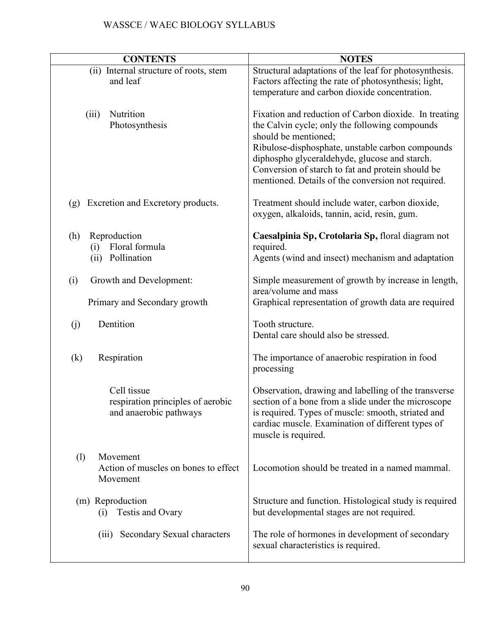| <b>CONTENTS</b>                                                            | <b>NOTES</b>                                                                                                                                                                                                                                                                                                                                    |
|----------------------------------------------------------------------------|-------------------------------------------------------------------------------------------------------------------------------------------------------------------------------------------------------------------------------------------------------------------------------------------------------------------------------------------------|
| (ii) Internal structure of roots, stem<br>and leaf                         | Structural adaptations of the leaf for photosynthesis.<br>Factors affecting the rate of photosynthesis; light,<br>temperature and carbon dioxide concentration.                                                                                                                                                                                 |
| Nutrition<br>(iii)<br>Photosynthesis                                       | Fixation and reduction of Carbon dioxide. In treating<br>the Calvin cycle; only the following compounds<br>should be mentioned;<br>Ribulose-disphosphate, unstable carbon compounds<br>diphospho glyceraldehyde, glucose and starch.<br>Conversion of starch to fat and protein should be<br>mentioned. Details of the conversion not required. |
| Excretion and Excretory products.<br>(g)                                   | Treatment should include water, carbon dioxide,<br>oxygen, alkaloids, tannin, acid, resin, gum.                                                                                                                                                                                                                                                 |
| (h)<br>Reproduction<br>Floral formula<br>(i)<br>Pollination<br>(ii)        | Caesalpinia Sp, Crotolaria Sp, floral diagram not<br>required.<br>Agents (wind and insect) mechanism and adaptation                                                                                                                                                                                                                             |
| (i)<br>Growth and Development:                                             | Simple measurement of growth by increase in length,<br>area/volume and mass                                                                                                                                                                                                                                                                     |
| Primary and Secondary growth                                               | Graphical representation of growth data are required                                                                                                                                                                                                                                                                                            |
| Dentition<br>(j)                                                           | Tooth structure.<br>Dental care should also be stressed.                                                                                                                                                                                                                                                                                        |
| (k)<br>Respiration                                                         | The importance of anaerobic respiration in food<br>processing                                                                                                                                                                                                                                                                                   |
| Cell tissue<br>respiration principles of aerobic<br>and anaerobic pathways | Observation, drawing and labelling of the transverse<br>section of a bone from a slide under the microscope<br>is required. Types of muscle: smooth, striated and<br>cardiac muscle. Examination of different types of<br>muscle is required.                                                                                                   |
| (1)<br>Movement<br>Action of muscles on bones to effect<br>Movement        | Locomotion should be treated in a named mammal.                                                                                                                                                                                                                                                                                                 |
| (m) Reproduction<br>Testis and Ovary<br>(i)                                | Structure and function. Histological study is required<br>but developmental stages are not required.                                                                                                                                                                                                                                            |
| Secondary Sexual characters<br>(iii)                                       | The role of hormones in development of secondary<br>sexual characteristics is required.                                                                                                                                                                                                                                                         |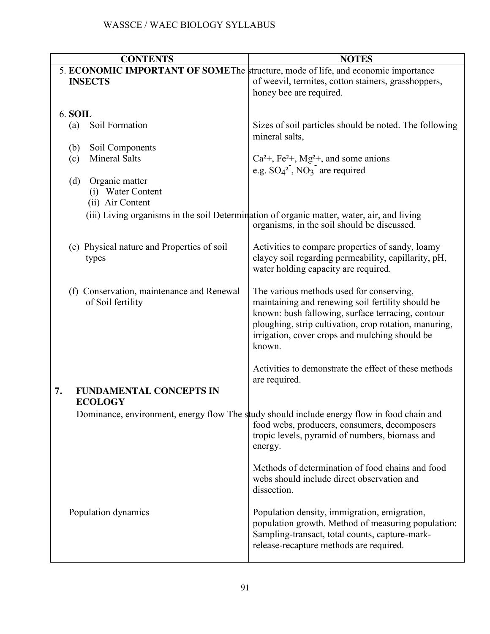| <b>CONTENTS</b>                                                                   | <b>NOTES</b>                                                                                                                              |
|-----------------------------------------------------------------------------------|-------------------------------------------------------------------------------------------------------------------------------------------|
| 5. ECONOMIC IMPORTANT OF SOMEThe structure, mode of life, and economic importance |                                                                                                                                           |
| <b>INSECTS</b>                                                                    | of weevil, termites, cotton stainers, grasshoppers,                                                                                       |
|                                                                                   | honey bee are required.                                                                                                                   |
|                                                                                   |                                                                                                                                           |
| <b>6. SOIL</b>                                                                    |                                                                                                                                           |
| Soil Formation<br>(a)                                                             | Sizes of soil particles should be noted. The following<br>mineral salts,                                                                  |
| (b)<br>Soil Components                                                            |                                                                                                                                           |
| <b>Mineral Salts</b><br>(c)                                                       | $Ca^{2+}$ , Fe <sup>2+</sup> , Mg <sup>2+</sup> , and some anions                                                                         |
|                                                                                   | e.g. $SO_4^2$ , $NO_3$ are required                                                                                                       |
| Organic matter<br>(d)                                                             |                                                                                                                                           |
| (i) Water Content                                                                 |                                                                                                                                           |
| (ii) Air Content                                                                  |                                                                                                                                           |
|                                                                                   | (iii) Living organisms in the soil Determination of organic matter, water, air, and living<br>organisms, in the soil should be discussed. |
| (e) Physical nature and Properties of soil                                        | Activities to compare properties of sandy, loamy                                                                                          |
| types                                                                             | clayey soil regarding permeability, capillarity, pH,                                                                                      |
|                                                                                   | water holding capacity are required.                                                                                                      |
|                                                                                   |                                                                                                                                           |
| (f) Conservation, maintenance and Renewal                                         | The various methods used for conserving,                                                                                                  |
| of Soil fertility                                                                 | maintaining and renewing soil fertility should be                                                                                         |
|                                                                                   | known: bush fallowing, surface terracing, contour<br>ploughing, strip cultivation, crop rotation, manuring,                               |
|                                                                                   | irrigation, cover crops and mulching should be                                                                                            |
|                                                                                   | known.                                                                                                                                    |
|                                                                                   |                                                                                                                                           |
|                                                                                   | Activities to demonstrate the effect of these methods                                                                                     |
|                                                                                   | are required.                                                                                                                             |
| <b>FUNDAMENTAL CONCEPTS IN</b><br>7.<br><b>ECOLOGY</b>                            |                                                                                                                                           |
|                                                                                   | Dominance, environment, energy flow The study should include energy flow in food chain and                                                |
|                                                                                   | food webs, producers, consumers, decomposers                                                                                              |
|                                                                                   | tropic levels, pyramid of numbers, biomass and                                                                                            |
|                                                                                   | energy.                                                                                                                                   |
|                                                                                   | Methods of determination of food chains and food                                                                                          |
|                                                                                   | webs should include direct observation and                                                                                                |
|                                                                                   | dissection.                                                                                                                               |
|                                                                                   |                                                                                                                                           |
| Population dynamics                                                               | Population density, immigration, emigration,                                                                                              |
|                                                                                   | population growth. Method of measuring population:                                                                                        |
|                                                                                   | Sampling-transact, total counts, capture-mark-                                                                                            |
|                                                                                   | release-recapture methods are required.                                                                                                   |
|                                                                                   |                                                                                                                                           |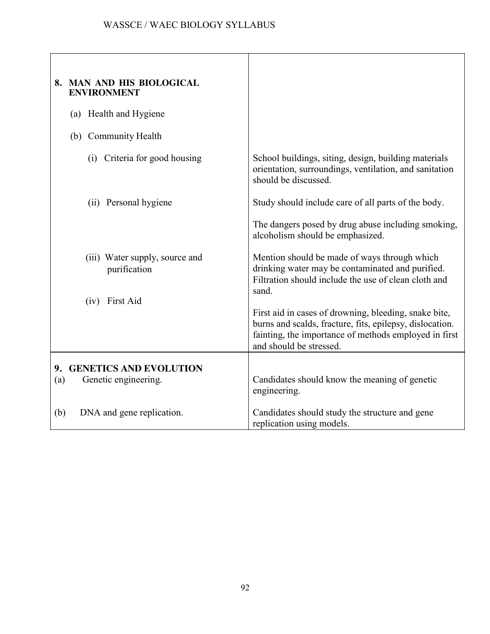| 8. MAN AND HIS BIOLOGICAL<br><b>ENVIRONMENT</b>                  |                                                                                                                                                                                                       |
|------------------------------------------------------------------|-------------------------------------------------------------------------------------------------------------------------------------------------------------------------------------------------------|
| (a) Health and Hygiene                                           |                                                                                                                                                                                                       |
| (b) Community Health                                             |                                                                                                                                                                                                       |
| (i) Criteria for good housing                                    | School buildings, siting, design, building materials<br>orientation, surroundings, ventilation, and sanitation<br>should be discussed.                                                                |
| (ii) Personal hygiene                                            | Study should include care of all parts of the body.                                                                                                                                                   |
|                                                                  | The dangers posed by drug abuse including smoking,<br>alcoholism should be emphasized.                                                                                                                |
| (iii) Water supply, source and<br>purification<br>(iv) First Aid | Mention should be made of ways through which<br>drinking water may be contaminated and purified.<br>Filtration should include the use of clean cloth and<br>sand.                                     |
|                                                                  | First aid in cases of drowning, bleeding, snake bite,<br>burns and scalds, fracture, fits, epilepsy, dislocation.<br>fainting, the importance of methods employed in first<br>and should be stressed. |
| 9. GENETICS AND EVOLUTION<br>Genetic engineering.<br>(a)         | Candidates should know the meaning of genetic<br>engineering.                                                                                                                                         |
| DNA and gene replication.<br>(b)                                 | Candidates should study the structure and gene<br>replication using models.                                                                                                                           |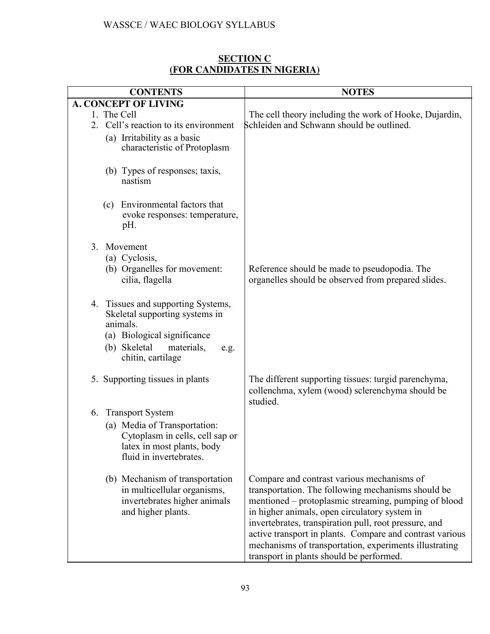#### **[SECTION C](http://www.larnedu.com/wassce-waec-syllabus/biology/) [\(FOR CANDIDATES IN NIGERIA\)](http://www.larnedu.com/wassce-waec-syllabus/biology/)**

| <b>CONTENTS</b>                                                                                                                                                            | <b>NOTES</b>                                                                                                                                                                                                                                                                                                                                                                                                                         |
|----------------------------------------------------------------------------------------------------------------------------------------------------------------------------|--------------------------------------------------------------------------------------------------------------------------------------------------------------------------------------------------------------------------------------------------------------------------------------------------------------------------------------------------------------------------------------------------------------------------------------|
| <b>A. CONCEPT OF LIVING</b>                                                                                                                                                |                                                                                                                                                                                                                                                                                                                                                                                                                                      |
| 1. The Cell<br>Cell's reaction to its environment<br>2<br>(a) Irritability as a basic<br>characteristic of Protoplasm                                                      | The cell theory including the work of Hooke, Dujardin,<br>Schleiden and Schwann should be outlined.                                                                                                                                                                                                                                                                                                                                  |
| (b) Types of responses; taxis,<br>nastism                                                                                                                                  |                                                                                                                                                                                                                                                                                                                                                                                                                                      |
| Environmental factors that<br>(c)<br>evoke responses: temperature,<br>pH.                                                                                                  |                                                                                                                                                                                                                                                                                                                                                                                                                                      |
| Movement<br>$\mathcal{E}$<br>(a) Cyclosis,<br>(b) Organelles for movement:<br>cilia, flagella                                                                              | Reference should be made to pseudopodia. The<br>organelles should be observed from prepared slides.                                                                                                                                                                                                                                                                                                                                  |
| 4. Tissues and supporting Systems,<br>Skeletal supporting systems in<br>animals.<br>(a) Biological significance<br>(b) Skeletal<br>materials,<br>e.g.<br>chitin, cartilage |                                                                                                                                                                                                                                                                                                                                                                                                                                      |
| 5. Supporting tissues in plants                                                                                                                                            | The different supporting tissues: turgid parenchyma,<br>collenchma, xylem (wood) sclerenchyma should be<br>studied.                                                                                                                                                                                                                                                                                                                  |
| <b>Transport System</b><br>6.<br>(a) Media of Transportation:<br>Cytoplasm in cells, cell sap or<br>latex in most plants, body<br>fluid in invertebrates.                  |                                                                                                                                                                                                                                                                                                                                                                                                                                      |
| (b) Mechanism of transportation<br>in multicellular organisms,<br>invertebrates higher animals<br>and higher plants.                                                       | Compare and contrast various mechanisms of<br>transportation. The following mechanisms should be<br>mentioned – protoplasmic streaming, pumping of blood<br>in higher animals, open circulatory system in<br>invertebrates, transpiration pull, root pressure, and<br>active transport in plants. Compare and contrast various<br>mechanisms of transportation, experiments illustrating<br>transport in plants should be performed. |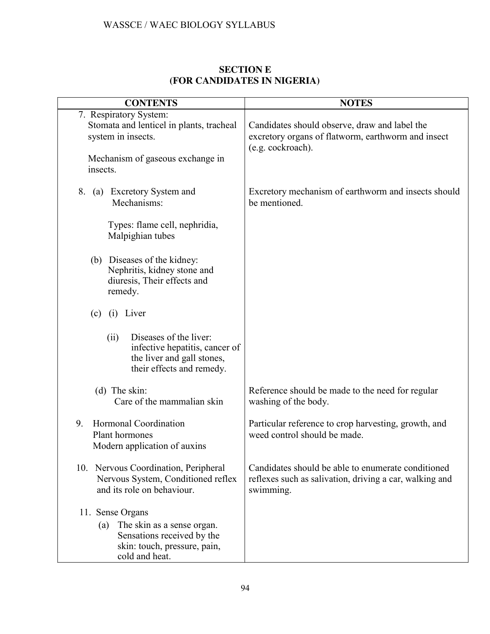| <b>SECTION E</b>            |
|-----------------------------|
| (FOR CANDIDATES IN NIGERIA) |

| <b>CONTENTS</b>                                                                                                                          | <b>NOTES</b>                                                                                                               |
|------------------------------------------------------------------------------------------------------------------------------------------|----------------------------------------------------------------------------------------------------------------------------|
| 7. Respiratory System:<br>Stomata and lenticel in plants, tracheal<br>system in insects.<br>Mechanism of gaseous exchange in<br>insects. | Candidates should observe, draw and label the<br>excretory organs of flatworm, earthworm and insect<br>(e.g. cockroach).   |
| (a) Excretory System and<br>8.<br>Mechanisms:                                                                                            | Excretory mechanism of earthworm and insects should<br>be mentioned.                                                       |
| Types: flame cell, nephridia,<br>Malpighian tubes                                                                                        |                                                                                                                            |
| (b) Diseases of the kidney:<br>Nephritis, kidney stone and<br>diuresis, Their effects and<br>remedy.                                     |                                                                                                                            |
| (i) Liver<br>(c)                                                                                                                         |                                                                                                                            |
| Diseases of the liver:<br>(ii)<br>infective hepatitis, cancer of<br>the liver and gall stones,<br>their effects and remedy.              |                                                                                                                            |
| $(d)$ The skin:<br>Care of the mammalian skin                                                                                            | Reference should be made to the need for regular<br>washing of the body.                                                   |
| 9.<br>Hormonal Coordination<br>Plant hormones<br>Modern application of auxins                                                            | Particular reference to crop harvesting, growth, and<br>weed control should be made.                                       |
| 10. Nervous Coordination, Peripheral<br>Nervous System, Conditioned reflex<br>and its role on behaviour.                                 | Candidates should be able to enumerate conditioned<br>reflexes such as salivation, driving a car, walking and<br>swimming. |
| 11. Sense Organs<br>The skin as a sense organ.<br>(a)<br>Sensations received by the<br>skin: touch, pressure, pain,<br>cold and heat.    |                                                                                                                            |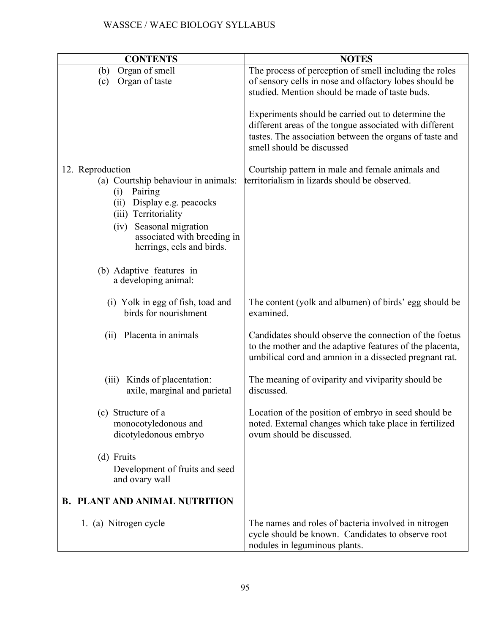| <b>CONTENTS</b>                                                                                                                                                                                 | <b>NOTES</b>                                                                                                                                                                                          |
|-------------------------------------------------------------------------------------------------------------------------------------------------------------------------------------------------|-------------------------------------------------------------------------------------------------------------------------------------------------------------------------------------------------------|
| Organ of smell<br>(b)<br>Organ of taste<br>(c)                                                                                                                                                  | The process of perception of smell including the roles<br>of sensory cells in nose and olfactory lobes should be<br>studied. Mention should be made of taste buds.                                    |
|                                                                                                                                                                                                 | Experiments should be carried out to determine the<br>different areas of the tongue associated with different<br>tastes. The association between the organs of taste and<br>smell should be discussed |
| 12. Reproduction<br>(a) Courtship behaviour in animals:<br>Pairing<br>(i)<br>Display e.g. peacocks<br>(ii)<br>(iii) Territoriality<br>Seasonal migration<br>(iv)<br>associated with breeding in | Courtship pattern in male and female animals and<br>territorialism in lizards should be observed.                                                                                                     |
| herrings, eels and birds.<br>(b) Adaptive features in<br>a developing animal:                                                                                                                   |                                                                                                                                                                                                       |
| (i) Yolk in egg of fish, toad and<br>birds for nourishment                                                                                                                                      | The content (yolk and albumen) of birds' egg should be<br>examined.                                                                                                                                   |
| Placenta in animals<br>(ii)                                                                                                                                                                     | Candidates should observe the connection of the foetus<br>to the mother and the adaptive features of the placenta,<br>umbilical cord and amnion in a dissected pregnant rat.                          |
| Kinds of placentation:<br>(iii)<br>axile, marginal and parietal                                                                                                                                 | The meaning of oviparity and viviparity should be<br>discussed.                                                                                                                                       |
| (c) Structure of a<br>monocotyledonous and<br>dicotyledonous embryo                                                                                                                             | Location of the position of embryo in seed should be<br>noted. External changes which take place in fertilized<br>ovum should be discussed.                                                           |
| (d) Fruits<br>Development of fruits and seed<br>and ovary wall                                                                                                                                  |                                                                                                                                                                                                       |
| <b>B. PLANT AND ANIMAL NUTRITION</b>                                                                                                                                                            |                                                                                                                                                                                                       |
| 1. (a) Nitrogen cycle                                                                                                                                                                           | The names and roles of bacteria involved in nitrogen<br>cycle should be known. Candidates to observe root<br>nodules in leguminous plants.                                                            |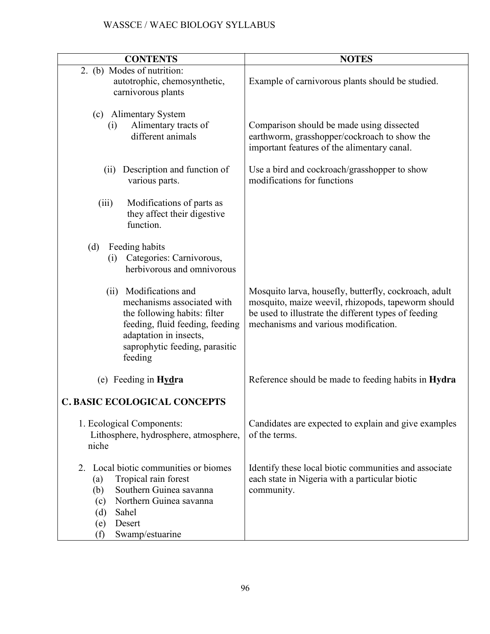| <b>CONTENTS</b>                                                                                                                                                                                        | <b>NOTES</b>                                                                                                                                                                                                |
|--------------------------------------------------------------------------------------------------------------------------------------------------------------------------------------------------------|-------------------------------------------------------------------------------------------------------------------------------------------------------------------------------------------------------------|
| 2. (b) Modes of nutrition:<br>autotrophic, chemosynthetic,<br>carnivorous plants                                                                                                                       | Example of carnivorous plants should be studied.                                                                                                                                                            |
| (c) Alimentary System<br>Alimentary tracts of<br>(i)<br>different animals                                                                                                                              | Comparison should be made using dissected<br>earthworm, grasshopper/cockroach to show the<br>important features of the alimentary canal.                                                                    |
| Description and function of<br>(ii)<br>various parts.                                                                                                                                                  | Use a bird and cockroach/grasshopper to show<br>modifications for functions                                                                                                                                 |
| Modifications of parts as<br>(iii)<br>they affect their digestive<br>function.                                                                                                                         |                                                                                                                                                                                                             |
| (d)<br>Feeding habits<br>Categories: Carnivorous,<br>(i)<br>herbivorous and omnivorous                                                                                                                 |                                                                                                                                                                                                             |
| Modifications and<br>(ii)<br>mechanisms associated with<br>the following habits: filter<br>feeding, fluid feeding, feeding<br>adaptation in insects,<br>saprophytic feeding, parasitic<br>feeding      | Mosquito larva, housefly, butterfly, cockroach, adult<br>mosquito, maize weevil, rhizopods, tapeworm should<br>be used to illustrate the different types of feeding<br>mechanisms and various modification. |
| (e) Feeding in $Hydra$                                                                                                                                                                                 | Reference should be made to feeding habits in <b>Hydra</b>                                                                                                                                                  |
| <b>C. BASIC ECOLOGICAL CONCEPTS</b>                                                                                                                                                                    |                                                                                                                                                                                                             |
| 1. Ecological Components:<br>Lithosphere, hydrosphere, atmosphere,<br>niche                                                                                                                            | Candidates are expected to explain and give examples<br>of the terms.                                                                                                                                       |
| Local biotic communities or biomes<br>2.<br>Tropical rain forest<br>(a)<br>Southern Guinea savanna<br>(b)<br>Northern Guinea savanna<br>(c)<br>Sahel<br>(d)<br>Desert<br>(e)<br>Swamp/estuarine<br>(f) | Identify these local biotic communities and associate<br>each state in Nigeria with a particular biotic<br>community.                                                                                       |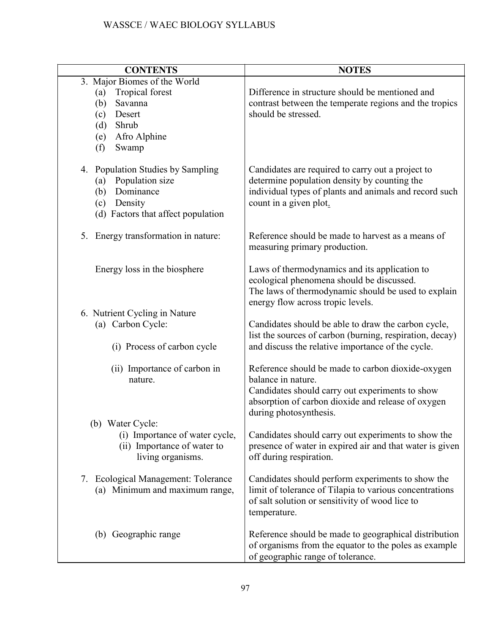| <b>CONTENTS</b>                                                                                                                                  | <b>NOTES</b>                                                                                                                                                                                               |
|--------------------------------------------------------------------------------------------------------------------------------------------------|------------------------------------------------------------------------------------------------------------------------------------------------------------------------------------------------------------|
| 3. Major Biomes of the World<br>Tropical forest<br>(a)<br>Savanna<br>(b)<br>Desert<br>(c)<br>Shrub<br>(d)<br>Afro Alphine<br>(e)<br>(f)<br>Swamp | Difference in structure should be mentioned and<br>contrast between the temperate regions and the tropics<br>should be stressed.                                                                           |
| 4. Population Studies by Sampling<br>Population size<br>(a)<br>Dominance<br>(b)<br>Density<br>(c)<br>(d) Factors that affect population          | Candidates are required to carry out a project to<br>determine population density by counting the<br>individual types of plants and animals and record such<br>count in a given plot.                      |
| 5. Energy transformation in nature:                                                                                                              | Reference should be made to harvest as a means of<br>measuring primary production.                                                                                                                         |
| Energy loss in the biosphere                                                                                                                     | Laws of thermodynamics and its application to<br>ecological phenomena should be discussed.<br>The laws of thermodynamic should be used to explain<br>energy flow across tropic levels.                     |
| 6. Nutrient Cycling in Nature<br>(a) Carbon Cycle:<br>(i) Process of carbon cycle                                                                | Candidates should be able to draw the carbon cycle,<br>list the sources of carbon (burning, respiration, decay)<br>and discuss the relative importance of the cycle.                                       |
| (ii) Importance of carbon in<br>nature.                                                                                                          | Reference should be made to carbon dioxide-oxygen<br>balance in nature.<br>Candidates should carry out experiments to show<br>absorption of carbon dioxide and release of oxygen<br>during photosynthesis. |
| (b) Water Cycle:<br>(i) Importance of water cycle,<br>(ii) Importance of water to<br>living organisms.                                           | Candidates should carry out experiments to show the<br>presence of water in expired air and that water is given<br>off during respiration.                                                                 |
| 7. Ecological Management: Tolerance<br>(a) Minimum and maximum range,                                                                            | Candidates should perform experiments to show the<br>limit of tolerance of Tilapia to various concentrations<br>of salt solution or sensitivity of wood lice to<br>temperature.                            |
| (b) Geographic range                                                                                                                             | Reference should be made to geographical distribution<br>of organisms from the equator to the poles as example<br>of geographic range of tolerance.                                                        |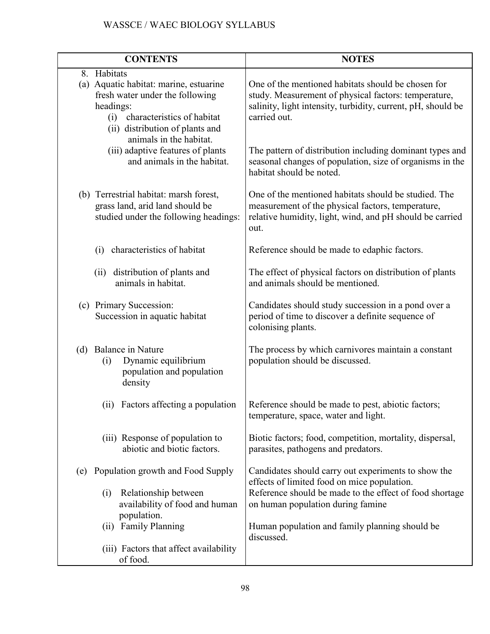|     | <b>CONTENTS</b>                                                                                                                                                                                          | <b>NOTES</b>                                                                                                                                                                               |
|-----|----------------------------------------------------------------------------------------------------------------------------------------------------------------------------------------------------------|--------------------------------------------------------------------------------------------------------------------------------------------------------------------------------------------|
|     | 8. Habitats<br>(a) Aquatic habitat: marine, estuarine<br>fresh water under the following<br>headings:<br>characteristics of habitat<br>(i)<br>(ii) distribution of plants and<br>animals in the habitat. | One of the mentioned habitats should be chosen for<br>study. Measurement of physical factors: temperature,<br>salinity, light intensity, turbidity, current, pH, should be<br>carried out. |
|     | (iii) adaptive features of plants<br>and animals in the habitat.                                                                                                                                         | The pattern of distribution including dominant types and<br>seasonal changes of population, size of organisms in the<br>habitat should be noted.                                           |
|     | (b) Terrestrial habitat: marsh forest,<br>grass land, arid land should be<br>studied under the following headings:                                                                                       | One of the mentioned habitats should be studied. The<br>measurement of the physical factors, temperature,<br>relative humidity, light, wind, and pH should be carried<br>out.              |
|     | characteristics of habitat<br>(i)                                                                                                                                                                        | Reference should be made to edaphic factors.                                                                                                                                               |
|     | distribution of plants and<br>(ii)<br>animals in habitat.                                                                                                                                                | The effect of physical factors on distribution of plants<br>and animals should be mentioned.                                                                                               |
|     | (c) Primary Succession:<br>Succession in aquatic habitat                                                                                                                                                 | Candidates should study succession in a pond over a<br>period of time to discover a definite sequence of<br>colonising plants.                                                             |
|     | (d) Balance in Nature<br>Dynamic equilibrium<br>(i)<br>population and population<br>density                                                                                                              | The process by which carnivores maintain a constant<br>population should be discussed.                                                                                                     |
|     | (ii) Factors affecting a population                                                                                                                                                                      | Reference should be made to pest, abiotic factors;<br>temperature, space, water and light.                                                                                                 |
|     | (iii) Response of population to<br>abiotic and biotic factors.                                                                                                                                           | Biotic factors; food, competition, mortality, dispersal,<br>parasites, pathogens and predators.                                                                                            |
| (e) | Population growth and Food Supply                                                                                                                                                                        | Candidates should carry out experiments to show the<br>effects of limited food on mice population.                                                                                         |
|     | Relationship between<br>(i)<br>availability of food and human<br>population.                                                                                                                             | Reference should be made to the effect of food shortage<br>on human population during famine                                                                                               |
|     | (ii) Family Planning                                                                                                                                                                                     | Human population and family planning should be<br>discussed.                                                                                                                               |
|     | (iii) Factors that affect availability<br>of food.                                                                                                                                                       |                                                                                                                                                                                            |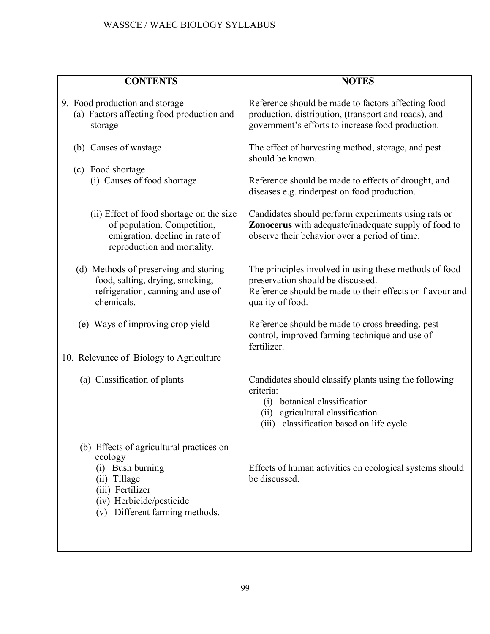| <b>CONTENTS</b>                                                                                                                                                           | <b>NOTES</b>                                                                                                                                                                                 |
|---------------------------------------------------------------------------------------------------------------------------------------------------------------------------|----------------------------------------------------------------------------------------------------------------------------------------------------------------------------------------------|
| 9. Food production and storage<br>(a) Factors affecting food production and<br>storage                                                                                    | Reference should be made to factors affecting food<br>production, distribution, (transport and roads), and<br>government's efforts to increase food production.                              |
| (b) Causes of wastage                                                                                                                                                     | The effect of harvesting method, storage, and pest<br>should be known.                                                                                                                       |
| (c) Food shortage<br>(i) Causes of food shortage                                                                                                                          | Reference should be made to effects of drought, and<br>diseases e.g. rinderpest on food production.                                                                                          |
| (ii) Effect of food shortage on the size<br>of population. Competition,<br>emigration, decline in rate of<br>reproduction and mortality.                                  | Candidates should perform experiments using rats or<br>Zonocerus with adequate/inadequate supply of food to<br>observe their behavior over a period of time.                                 |
| (d) Methods of preserving and storing<br>food, salting, drying, smoking,<br>refrigeration, canning and use of<br>chemicals.                                               | The principles involved in using these methods of food<br>preservation should be discussed.<br>Reference should be made to their effects on flavour and<br>quality of food.                  |
| (e) Ways of improving crop yield<br>10. Relevance of Biology to Agriculture                                                                                               | Reference should be made to cross breeding, pest<br>control, improved farming technique and use of<br>fertilizer.                                                                            |
|                                                                                                                                                                           |                                                                                                                                                                                              |
| (a) Classification of plants                                                                                                                                              | Candidates should classify plants using the following<br>criteria:<br>botanical classification<br>(i)<br>agricultural classification<br>(ii)<br>classification based on life cycle.<br>(iii) |
| (b) Effects of agricultural practices on<br>ecology<br>(i) Bush burning<br>(ii) Tillage<br>(iii) Fertilizer<br>(iv) Herbicide/pesticide<br>(v) Different farming methods. | Effects of human activities on ecological systems should<br>be discussed.                                                                                                                    |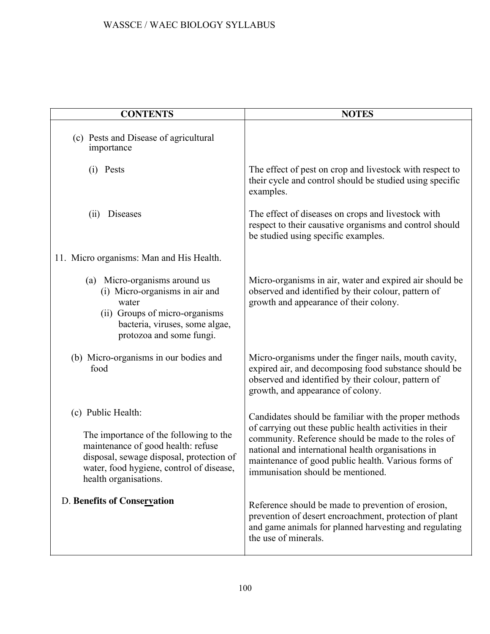| <b>CONTENTS</b>                                                                                                                                                                                                     | <b>NOTES</b>                                                                                                                                                                                                                                                                                                              |
|---------------------------------------------------------------------------------------------------------------------------------------------------------------------------------------------------------------------|---------------------------------------------------------------------------------------------------------------------------------------------------------------------------------------------------------------------------------------------------------------------------------------------------------------------------|
| (c) Pests and Disease of agricultural<br>importance                                                                                                                                                                 |                                                                                                                                                                                                                                                                                                                           |
| (i) Pests                                                                                                                                                                                                           | The effect of pest on crop and livestock with respect to<br>their cycle and control should be studied using specific<br>examples.                                                                                                                                                                                         |
| Diseases<br>(i)                                                                                                                                                                                                     | The effect of diseases on crops and livestock with<br>respect to their causative organisms and control should<br>be studied using specific examples.                                                                                                                                                                      |
| 11. Micro organisms: Man and His Health.                                                                                                                                                                            |                                                                                                                                                                                                                                                                                                                           |
| (a) Micro-organisms around us<br>(i) Micro-organisms in air and<br>water<br>(ii) Groups of micro-organisms<br>bacteria, viruses, some algae,<br>protozoa and some fungi.                                            | Micro-organisms in air, water and expired air should be<br>observed and identified by their colour, pattern of<br>growth and appearance of their colony.                                                                                                                                                                  |
| (b) Micro-organisms in our bodies and<br>food                                                                                                                                                                       | Micro-organisms under the finger nails, mouth cavity,<br>expired air, and decomposing food substance should be<br>observed and identified by their colour, pattern of<br>growth, and appearance of colony.                                                                                                                |
| (c) Public Health:<br>The importance of the following to the<br>maintenance of good health: refuse<br>disposal, sewage disposal, protection of<br>water, food hygiene, control of disease,<br>health organisations. | Candidates should be familiar with the proper methods<br>of carrying out these public health activities in their<br>community. Reference should be made to the roles of<br>national and international health organisations in<br>maintenance of good public health. Various forms of<br>immunisation should be mentioned. |
| <b>D. Benefits of Conservation</b>                                                                                                                                                                                  | Reference should be made to prevention of erosion,<br>prevention of desert encroachment, protection of plant<br>and game animals for planned harvesting and regulating<br>the use of minerals.                                                                                                                            |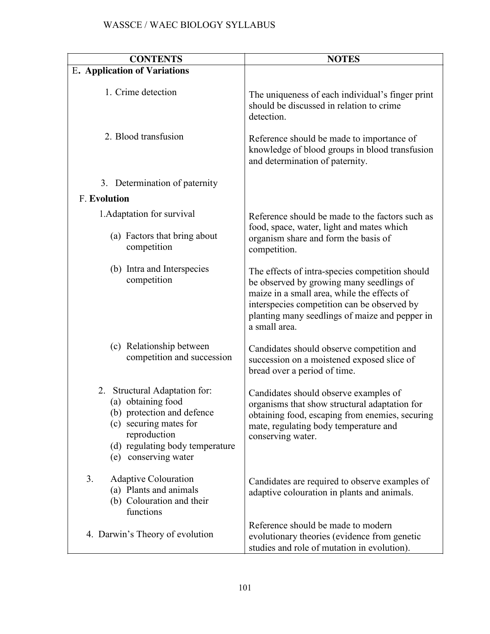| <b>CONTENTS</b>                                                                                                                                                                           | <b>NOTES</b>                                                                                                                                                                                                                                                 |
|-------------------------------------------------------------------------------------------------------------------------------------------------------------------------------------------|--------------------------------------------------------------------------------------------------------------------------------------------------------------------------------------------------------------------------------------------------------------|
| <b>E. Application of Variations</b>                                                                                                                                                       |                                                                                                                                                                                                                                                              |
| 1. Crime detection                                                                                                                                                                        | The uniqueness of each individual's finger print<br>should be discussed in relation to crime<br>detection.                                                                                                                                                   |
| 2. Blood transfusion                                                                                                                                                                      | Reference should be made to importance of<br>knowledge of blood groups in blood transfusion<br>and determination of paternity.                                                                                                                               |
| 3. Determination of paternity                                                                                                                                                             |                                                                                                                                                                                                                                                              |
| <b>F. Evolution</b>                                                                                                                                                                       |                                                                                                                                                                                                                                                              |
| 1. Adaptation for survival                                                                                                                                                                | Reference should be made to the factors such as                                                                                                                                                                                                              |
| (a) Factors that bring about<br>competition                                                                                                                                               | food, space, water, light and mates which<br>organism share and form the basis of<br>competition.                                                                                                                                                            |
| (b) Intra and Interspecies<br>competition                                                                                                                                                 | The effects of intra-species competition should<br>be observed by growing many seedlings of<br>maize in a small area, while the effects of<br>interspecies competition can be observed by<br>planting many seedlings of maize and pepper in<br>a small area. |
| (c) Relationship between<br>competition and succession                                                                                                                                    | Candidates should observe competition and<br>succession on a moistened exposed slice of<br>bread over a period of time.                                                                                                                                      |
| Structural Adaptation for:<br>2.<br>(a) obtaining food<br>(b) protection and defence<br>(c) securing mates for<br>reproduction<br>(d) regulating body temperature<br>(e) conserving water | Candidates should observe examples of<br>organisms that show structural adaptation for<br>obtaining food, escaping from enemies, securing<br>mate, regulating body temperature and<br>conserving water.                                                      |
| 3.<br><b>Adaptive Colouration</b><br>(a) Plants and animals<br>(b) Colouration and their<br>functions                                                                                     | Candidates are required to observe examples of<br>adaptive colouration in plants and animals.                                                                                                                                                                |
| 4. Darwin's Theory of evolution                                                                                                                                                           | Reference should be made to modern<br>evolutionary theories (evidence from genetic<br>studies and role of mutation in evolution).                                                                                                                            |